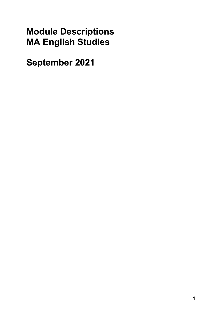# **Module Descriptions MA English Studies**

**September 2021**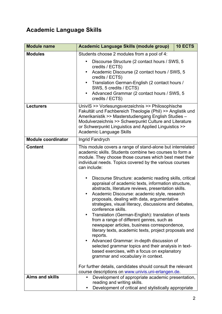## **Academic Language Skills**

| <b>Module name</b>                 | 10 ECTS<br>Academic Language Skills (module group)                                                                                                                                                                                                                                                                                                                                                                                                                                                                                                                                                                                                                                                                                                                                                                                                                                                                                                                                                                                                                                                             |
|------------------------------------|----------------------------------------------------------------------------------------------------------------------------------------------------------------------------------------------------------------------------------------------------------------------------------------------------------------------------------------------------------------------------------------------------------------------------------------------------------------------------------------------------------------------------------------------------------------------------------------------------------------------------------------------------------------------------------------------------------------------------------------------------------------------------------------------------------------------------------------------------------------------------------------------------------------------------------------------------------------------------------------------------------------------------------------------------------------------------------------------------------------|
| <b>Modules</b><br><b>Lecturers</b> | Students choose 2 modules from a pool of 4:<br>Discourse Structure (2 contact hours / SWS, 5<br>credits / ECTS)<br>Academic Discourse (2 contact hours / SWS, 5<br>credits / ECTS)<br>Translation German-English (2 contact hours /<br>SWS, 5 credits / ECTS)<br>Advanced Grammar (2 contact hours / SWS, 5<br>credits / ECTS)<br>UnivIS >> Vorlesungsverzeichnis >> Philosophische<br>Fakultät und Fachbereich Theologie (Phil) >> Anglistik und                                                                                                                                                                                                                                                                                                                                                                                                                                                                                                                                                                                                                                                              |
|                                    | Amerikanistik >> Masterstudiengang English Studies -<br>Modulverzeichnis >> Schwerpunkt Culture and Literature<br>or Schwerpunkt Linguistics and Applied Linguistics >><br><b>Academic Language Skills</b>                                                                                                                                                                                                                                                                                                                                                                                                                                                                                                                                                                                                                                                                                                                                                                                                                                                                                                     |
| <b>Module coordinator</b>          | Ingrid Fandrych                                                                                                                                                                                                                                                                                                                                                                                                                                                                                                                                                                                                                                                                                                                                                                                                                                                                                                                                                                                                                                                                                                |
| <b>Content</b>                     | This module covers a range of stand-alone but interrelated<br>academic skills. Students combine two courses to form a<br>module. They choose those courses which best meet their<br>individual needs. Topics covered by the various courses<br>can include:<br>Discourse Structure: academic reading skills, critical<br>appraisal of academic texts, information structure,<br>abstracts, literature reviews, presentation skills.<br>Academic Discourse: academic style, research<br>$\bullet$<br>proposals, dealing with data, argumentative<br>strategies, visual literacy, discussions and debates,<br>conference skills.<br>Translation (German-English): translation of texts<br>from a range of different genres, such as<br>newspaper articles, business correspondence,<br>literary texts, academic texts, project proposals and<br>reports.<br>Advanced Grammar: in-depth discussion of<br>selected grammar topics and their analysis in text-<br>based exercises, with a focus on explanatory<br>grammar and vocabulary in context.<br>For further details, candidates should consult the relevant |
| <b>Aims and skills</b>             | course descriptions on www.univis.uni-erlangen.de.<br>Development of appropriate academic presentation,                                                                                                                                                                                                                                                                                                                                                                                                                                                                                                                                                                                                                                                                                                                                                                                                                                                                                                                                                                                                        |
|                                    | reading and writing skills.<br>Development of critical and stylistically appropriate                                                                                                                                                                                                                                                                                                                                                                                                                                                                                                                                                                                                                                                                                                                                                                                                                                                                                                                                                                                                                           |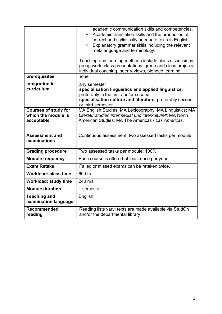|                                                                  | academic communication skills and competencies.<br>Academic translation skills and the production of<br>$\bullet$<br>correct and stylistically adequate texts in English.<br>Explanatory grammar skills including the relevant<br>$\bullet$<br>metalanguage and terminology.<br>Teaching and learning methods include class discussions,<br>group work, class presentations, group and class projects,<br>individual coaching, peer reviews, blended learning. |
|------------------------------------------------------------------|----------------------------------------------------------------------------------------------------------------------------------------------------------------------------------------------------------------------------------------------------------------------------------------------------------------------------------------------------------------------------------------------------------------------------------------------------------------|
| prerequisites                                                    | none                                                                                                                                                                                                                                                                                                                                                                                                                                                           |
| Integration in<br>curriculum                                     | any semester<br>specialisation linguistics and applied linguistics:<br>preferably in the first and/or second<br>specialisation culture and literature: preferably second<br>or third semester.                                                                                                                                                                                                                                                                 |
| <b>Courses of study for</b><br>which the module is<br>acceptable | MA English Studies; MA Lexicography; MA Linguistics; MA<br>Literaturstudien intermedial und interkulturell; MA North<br>American Studies; MA The Americas / Las Americas.                                                                                                                                                                                                                                                                                      |
| <b>Assessment and</b><br>examinations                            | Continuous assessment: two assessed tasks per module.                                                                                                                                                                                                                                                                                                                                                                                                          |
| <b>Grading procedure</b>                                         | Two assessed tasks per module: 100%                                                                                                                                                                                                                                                                                                                                                                                                                            |
| <b>Module frequency</b>                                          | Each course is offered at least once per year                                                                                                                                                                                                                                                                                                                                                                                                                  |
| <b>Exam Retake</b>                                               | Failed or missed exams can be retaken twice.                                                                                                                                                                                                                                                                                                                                                                                                                   |
| <b>Workload: class time</b>                                      | 60 hrs.                                                                                                                                                                                                                                                                                                                                                                                                                                                        |
| <b>Workload: study time</b>                                      | 240 hrs.                                                                                                                                                                                                                                                                                                                                                                                                                                                       |
| <b>Module duration</b>                                           | 1 semester                                                                                                                                                                                                                                                                                                                                                                                                                                                     |
| <b>Teaching and</b><br>examination language                      | English                                                                                                                                                                                                                                                                                                                                                                                                                                                        |
| <b>Recommended</b><br>reading                                    | Reading lists vary; texts are made available via StudOn<br>and/or the departmental library.                                                                                                                                                                                                                                                                                                                                                                    |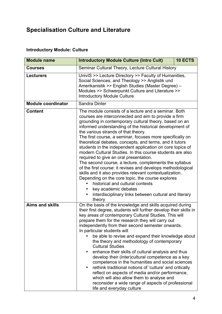## **Specialisation Culture and Literature**

#### **Introductory Module: Culture**

| <b>Module name</b>        | <b>Introductory Module Culture (Intro Cult)</b>                                                                                                                                                                                                                                                                                                                                                                                                                                                                                                                                                                                                                                                                                                                                                                                                                                                                                             | 10 ECTS |
|---------------------------|---------------------------------------------------------------------------------------------------------------------------------------------------------------------------------------------------------------------------------------------------------------------------------------------------------------------------------------------------------------------------------------------------------------------------------------------------------------------------------------------------------------------------------------------------------------------------------------------------------------------------------------------------------------------------------------------------------------------------------------------------------------------------------------------------------------------------------------------------------------------------------------------------------------------------------------------|---------|
| <b>Courses</b>            | Seminar Cultural Theory, Lecture Cultural History                                                                                                                                                                                                                                                                                                                                                                                                                                                                                                                                                                                                                                                                                                                                                                                                                                                                                           |         |
| <b>Lecturers</b>          | UnivIS >> Lecture Directory >> Faculty of Humanities,<br>Social Sciences, and Theology >> Anglistik und<br>Amerikanistik >> English Studies (Master Degree) -<br>Modules >> Schwerpunkt Culture and Literature >><br><b>Introductory Module Culture</b>                                                                                                                                                                                                                                                                                                                                                                                                                                                                                                                                                                                                                                                                                     |         |
| <b>Module coordinator</b> | Sandra Dinter                                                                                                                                                                                                                                                                                                                                                                                                                                                                                                                                                                                                                                                                                                                                                                                                                                                                                                                               |         |
| <b>Content</b>            | The module consists of a lecture and a seminar. Both<br>courses are interconnected and aim to provide a firm<br>grounding in contemporary cultural theory, based on an<br>informed understanding of the historical development of<br>the various strands of that theory.<br>The first course, a seminar, focuses more specifically on<br>theoretical debates, concepts, and terms, and it tutors<br>students in the independent application on core topics of<br>modern Cultural Studies. In this course students are also<br>required to give an oral presentation.<br>The second course, a lecture, complements the syllabus<br>of the first course: it revises and develops methodological<br>skills and it also provides relevant contextualization.<br>Depending on the core topic, the course explores<br>historical and cultural contexts<br>key academic debates<br>interdisciplinary links between cultural and literary<br>theory |         |
| <b>Aims and skills</b>    | On the basis of the knowledge and skills acquired during<br>their first degree, students will further develop their skills in<br>key areas of contemporary Cultural Studies. This will<br>prepare them for the research they will carry out<br>independently from their second semester onwards.<br>In particular students will<br>be able to revise and expand their knowledge about<br>the theory and methodology of contemporary<br><b>Cultural Studies</b><br>enhance their skills of cultural analysis and thus<br>develop their (inter)cultural competence as a key<br>competence in the humanities and social sciences<br>rethink traditional notions of 'culture' and critically<br>reflect on aspects of media and/or performance,<br>which will also allow them to analyse and<br>reconsider a wide range of aspects of professional<br>life and everyday culture                                                                 |         |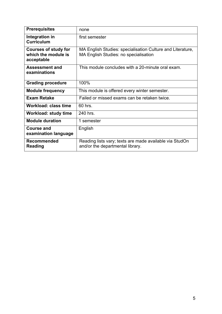| <b>Prerequisites</b>                                             | none                                                                                                       |
|------------------------------------------------------------------|------------------------------------------------------------------------------------------------------------|
| Integration in<br><b>Curriculum</b>                              | first semester                                                                                             |
| <b>Courses of study for</b><br>which the module is<br>acceptable | MA English Studies: specialisation Culture and Literature,<br><b>MA English Studies: no specialisation</b> |
| <b>Assessment and</b><br>examinations                            | This module concludes with a 20-minute oral exam.                                                          |
| <b>Grading procedure</b>                                         | 100%                                                                                                       |
| <b>Module frequency</b>                                          | This module is offered every winter semester.                                                              |
| <b>Exam Retake</b>                                               | Failed or missed exams can be retaken twice.                                                               |
| Workload: class time                                             | 60 hrs.                                                                                                    |
| Workload: study time                                             | 240 hrs.                                                                                                   |
| <b>Module duration</b>                                           | 1 semester                                                                                                 |
| <b>Course and</b><br>examination language                        | English                                                                                                    |
| <b>Recommended</b><br><b>Reading</b>                             | Reading lists vary; texts are made available via StudOn<br>and/or the departmental library.                |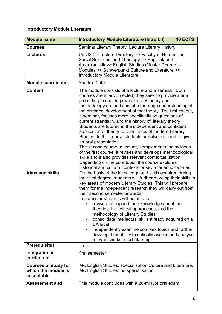#### **Introductory Module Literature**

| <b>Module name</b>                                               | <b>Introductory Module Literature (Intro Lit)</b>                                                                                                                                                                                                                                                                                                                                                                                                                                                                                                                                                                                                                                                                                                                                                                                                                  | 10 ECTS |
|------------------------------------------------------------------|--------------------------------------------------------------------------------------------------------------------------------------------------------------------------------------------------------------------------------------------------------------------------------------------------------------------------------------------------------------------------------------------------------------------------------------------------------------------------------------------------------------------------------------------------------------------------------------------------------------------------------------------------------------------------------------------------------------------------------------------------------------------------------------------------------------------------------------------------------------------|---------|
| <b>Courses</b>                                                   | Seminar Literary Theory, Lecture Literary History                                                                                                                                                                                                                                                                                                                                                                                                                                                                                                                                                                                                                                                                                                                                                                                                                  |         |
| <b>Lecturers</b>                                                 | UnivIS >> Lecture Directory >> Faculty of Humanities,<br>Social Sciences, and Theology >> Anglistik und<br>Amerikanistik >> English Studies (Master Degree) -<br>Modules >> Schwerpunkt Culture and Literature >><br><b>Introductory Module Literature</b>                                                                                                                                                                                                                                                                                                                                                                                                                                                                                                                                                                                                         |         |
| <b>Module coordinator</b>                                        | Sandra Dinter                                                                                                                                                                                                                                                                                                                                                                                                                                                                                                                                                                                                                                                                                                                                                                                                                                                      |         |
| <b>Content</b>                                                   | The module consists of a lecture and a seminar. Both<br>courses are interconnected; they seek to provide a firm<br>grounding in contemporary literary theory and<br>methodology on the basis of a thorough understanding of<br>the historical development of that theory. The first course,<br>a seminar, focuses more specifically on questions of<br>current strands in, and the history of, literary theory.<br>Students are tutored in the independent and confident<br>application of theory to core topics of modern Literary<br>Studies. In this course students are also required to give<br>an oral presentation.<br>The second course, a lecture, complements the syllabus<br>of the first course: it revises and develops methodological<br>skills and it also provides relevant contextualization.<br>Depending on the core topic, the course explores |         |
| <b>Aims and skills</b>                                           | historical and cultural contexts or key academic debates.<br>On the basis of the knowledge and skills acquired during                                                                                                                                                                                                                                                                                                                                                                                                                                                                                                                                                                                                                                                                                                                                              |         |
|                                                                  | their first degree, students will further develop their skills in<br>key areas of modern Literary Studies. This will prepare<br>them for the independent research they will carry out from<br>their second semester onwards.<br>In particular students will be able to<br>revise and expand their knowledge about the<br>theories, the critical approaches, and the<br>methodology of Literary Studies<br>consolidate intellectual skills already acquired on a<br>$\bullet$<br><b>BA</b> level<br>independently examine complex topics and further<br>$\bullet$<br>develop their ability to critically assess and analyse<br>relevant works of scholarship                                                                                                                                                                                                        |         |
| <b>Prerequisites</b>                                             | none                                                                                                                                                                                                                                                                                                                                                                                                                                                                                                                                                                                                                                                                                                                                                                                                                                                               |         |
| Integration in<br>curriculum                                     | first semester                                                                                                                                                                                                                                                                                                                                                                                                                                                                                                                                                                                                                                                                                                                                                                                                                                                     |         |
| <b>Courses of study for</b><br>which the module is<br>acceptable | MA English Studies: specialisation Culture and Literature,<br>MA English Studies: no specialisation                                                                                                                                                                                                                                                                                                                                                                                                                                                                                                                                                                                                                                                                                                                                                                |         |
| <b>Assessment and</b>                                            | This module concludes with a 20-minute oral exam                                                                                                                                                                                                                                                                                                                                                                                                                                                                                                                                                                                                                                                                                                                                                                                                                   |         |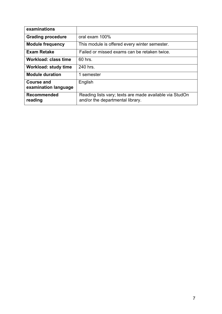| examinations                              |                                                                                             |
|-------------------------------------------|---------------------------------------------------------------------------------------------|
| <b>Grading procedure</b>                  | oral exam 100%                                                                              |
| <b>Module frequency</b>                   | This module is offered every winter semester.                                               |
| <b>Exam Retake</b>                        | Failed or missed exams can be retaken twice.                                                |
| <b>Workload: class time</b>               | 60 hrs.                                                                                     |
| <b>Workload: study time</b>               | 240 hrs.                                                                                    |
| <b>Module duration</b>                    | 1 semester                                                                                  |
| <b>Course and</b><br>examination language | English                                                                                     |
| <b>Recommended</b><br>reading             | Reading lists vary; texts are made available via StudOn<br>and/or the departmental library. |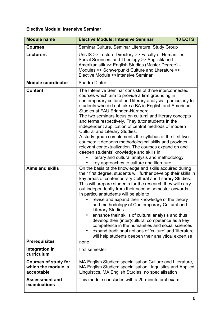#### **Elective Module: Intensive Seminar**

| <b>Module name</b>                                               | <b>Elective Module: Intensive Seminar</b>                                                                                                                                                                                                                                                                                                                                                                                                                                                                                                                                                                                                                                                                                                                                                                              | <b>10 ECTS</b> |
|------------------------------------------------------------------|------------------------------------------------------------------------------------------------------------------------------------------------------------------------------------------------------------------------------------------------------------------------------------------------------------------------------------------------------------------------------------------------------------------------------------------------------------------------------------------------------------------------------------------------------------------------------------------------------------------------------------------------------------------------------------------------------------------------------------------------------------------------------------------------------------------------|----------------|
| <b>Courses</b>                                                   | Seminar Culture, Seminar Literature, Study Group                                                                                                                                                                                                                                                                                                                                                                                                                                                                                                                                                                                                                                                                                                                                                                       |                |
| <b>Lecturers</b>                                                 | UnivIS >> Lecture Directory >> Faculty of Humanities,<br>Social Sciences, and Theology >> Anglistik und<br>Amerikanistik >> English Studies (Master Degree) -<br>Modules >> Schwerpunkt Culture and Literature >><br>Elective Module >>Intensive Seminar                                                                                                                                                                                                                                                                                                                                                                                                                                                                                                                                                               |                |
| <b>Module coordinator</b>                                        | Sandra Dinter                                                                                                                                                                                                                                                                                                                                                                                                                                                                                                                                                                                                                                                                                                                                                                                                          |                |
| <b>Content</b>                                                   | The Intensive Seminar consists of three interconnected<br>courses which aim to provide a firm grounding in<br>contemporary cultural and literary analysis - particularly for<br>students who did not take a BA in English and American<br>Studies at FAU Erlangen-Nürnberg.<br>The two seminars focus on cultural and literary concepts<br>and terms respectively. They tutor students in the<br>independent application of central methods of modern<br><b>Cultural and Literary Studies.</b><br>A study group complements the syllabus of the first two<br>courses: it deepens methodological skills and provides<br>relevant contextualization. The courses expand on and<br>deepen students' knowledge and skills in<br>literary and cultural analysis and methodology<br>key approaches to culture and literature |                |
| <b>Aims and skills</b>                                           | On the basis of the knowledge and skills acquired during<br>their first degree, students will further develop their skills in<br>key areas of contemporary Cultural and Literary Studies.<br>This will prepare students for the research they will carry<br>out independently from their second semester onwards.<br>In particular students will be able to<br>revise and expand their knowledge of the theory<br>and methodology of Contemporary Cultural and<br>Literary Studies.<br>enhance their skills of cultural analysis and thus<br>develop their (inter)cultural competence as a key<br>competence in the humanities and social sciences<br>expand traditional notions of 'culture' and 'literature'<br>will help students deepen their analytical expertise                                                 |                |
| <b>Prerequisites</b>                                             | none                                                                                                                                                                                                                                                                                                                                                                                                                                                                                                                                                                                                                                                                                                                                                                                                                   |                |
| Integration in<br>curriculum                                     | first semester                                                                                                                                                                                                                                                                                                                                                                                                                                                                                                                                                                                                                                                                                                                                                                                                         |                |
| <b>Courses of study for</b><br>which the module is<br>acceptable | MA English Studies: specialisation Culture and Literature,<br>MA English Studies: specialisation Linguistics and Applied<br>Linguistics, MA English Studies: no specialisation                                                                                                                                                                                                                                                                                                                                                                                                                                                                                                                                                                                                                                         |                |
| <b>Assessment and</b><br>examinations                            | This module concludes with a 20-minute oral exam.                                                                                                                                                                                                                                                                                                                                                                                                                                                                                                                                                                                                                                                                                                                                                                      |                |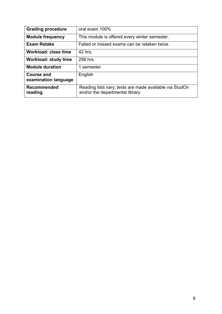| <b>Grading procedure</b>                  | oral exam 100%                                                                              |
|-------------------------------------------|---------------------------------------------------------------------------------------------|
| <b>Module frequency</b>                   | This module is offered every winter semester.                                               |
| <b>Exam Retake</b>                        | Failed or missed exams can be retaken twice.                                                |
| <b>Workload: class time</b>               | 42 hrs.                                                                                     |
| <b>Workload: study time</b>               | 258 hrs.                                                                                    |
| <b>Module duration</b>                    | 1 semester                                                                                  |
| <b>Course and</b><br>examination language | English                                                                                     |
| <b>Recommended</b><br>reading             | Reading lists vary; texts are made available via StudOn<br>and/or the departmental library. |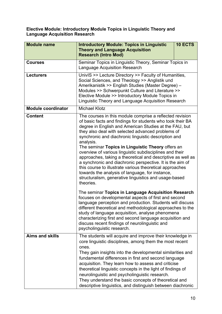#### **Elective Module: Introductory Module Topics in Linguistic Theory and Language Acquisition Research**

| <b>Module name</b>        | <b>Introductory Module: Topics in Linguistic</b><br><b>Theory and Language Acquisition</b><br><b>Research (Intro Mod)</b>                                                                                                                                                                                                                                                                                                                                                                                                                                                                                                                                                                                                                                                                                                                                                                                                                                                                                                                                                                                                                                                             | 10 ECTS |
|---------------------------|---------------------------------------------------------------------------------------------------------------------------------------------------------------------------------------------------------------------------------------------------------------------------------------------------------------------------------------------------------------------------------------------------------------------------------------------------------------------------------------------------------------------------------------------------------------------------------------------------------------------------------------------------------------------------------------------------------------------------------------------------------------------------------------------------------------------------------------------------------------------------------------------------------------------------------------------------------------------------------------------------------------------------------------------------------------------------------------------------------------------------------------------------------------------------------------|---------|
| <b>Courses</b>            | Seminar Topics in Linguistic Theory, Seminar Topics in<br><b>Language Acquisition Research</b>                                                                                                                                                                                                                                                                                                                                                                                                                                                                                                                                                                                                                                                                                                                                                                                                                                                                                                                                                                                                                                                                                        |         |
| <b>Lecturers</b>          | UnivIS >> Lecture Directory >> Faculty of Humanities,<br>Social Sciences, and Theology >> Anglistik und<br>Amerikanistik >> English Studies (Master Degree) -<br>Modules >> Schwerpunkt Culture and Literature >><br>Elective Module >> Introductory Module Topics in<br>Linguistic Theory and Language Acquisition Research                                                                                                                                                                                                                                                                                                                                                                                                                                                                                                                                                                                                                                                                                                                                                                                                                                                          |         |
| <b>Module coordinator</b> | <b>Michael Klotz</b>                                                                                                                                                                                                                                                                                                                                                                                                                                                                                                                                                                                                                                                                                                                                                                                                                                                                                                                                                                                                                                                                                                                                                                  |         |
| <b>Content</b>            | The courses in this module comprise a reflected revision<br>of basic facts and findings for students who took their BA<br>degree in English and American Studies at the FAU, but<br>they also deal with selected advanced problems of<br>synchronic and diachronic linguistic description and<br>analysis.<br>The seminar Topics in Linguistic Theory offers an<br>overview of various linguistic subdisciplines and their<br>approaches, taking a theoretical and descriptive as well as<br>a synchronic and diachronic perspective. It is the aim of<br>this course to illustrate various theoretical approaches<br>towards the analysis of language, for instance,<br>structuralism, generative linguistics and usage-based<br>theories.<br>The seminar Topics in Language Acquisition Research<br>focuses on developmental aspects of first and second<br>language perception and production. Students will discuss<br>different theoretical and methodological approaches to the<br>study of language acquisition, analyse phenomena<br>characterizing first and second language acquisition and<br>discuss recent findings of neurolinguistic and<br>psycholinguistic research. |         |
| <b>Aims and skills</b>    | The students will acquire and improve their knowledge in<br>core linguistic disciplines, among them the most recent                                                                                                                                                                                                                                                                                                                                                                                                                                                                                                                                                                                                                                                                                                                                                                                                                                                                                                                                                                                                                                                                   |         |
|                           | ones.<br>They gain insights into the developmental similarities and<br>fundamental differences in first and second language<br>acquisition. They learn how to assess and criticise<br>theoretical linguistic concepts in the light of findings of<br>neurolinguistic and psycholinguistic research.<br>They understand the basic concepts of theoretical and<br>descriptive linguistics, and distinguish between diachronic                                                                                                                                                                                                                                                                                                                                                                                                                                                                                                                                                                                                                                                                                                                                                           |         |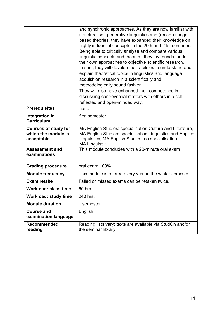|                                                                  | and synchronic approaches. As they are now familiar with<br>structuralism, generative linguistics and (recent) usage-<br>based theories, they have expanded their knowledge on<br>highly influential concepts in the 20th and 21st centuries.<br>Being able to critically analyse and compare various<br>linguistic concepts and theories, they lay foundation for<br>their own approaches to objective scientific research.<br>In sum, they will develop their abilities to understand and<br>explain theoretical topics in linguistics and language<br>acquisition research in a scientifically and<br>methodologically sound fashion.<br>They will also have enhanced their competence in<br>discussing controversial matters with others in a self-<br>reflected and open-minded way. |
|------------------------------------------------------------------|-------------------------------------------------------------------------------------------------------------------------------------------------------------------------------------------------------------------------------------------------------------------------------------------------------------------------------------------------------------------------------------------------------------------------------------------------------------------------------------------------------------------------------------------------------------------------------------------------------------------------------------------------------------------------------------------------------------------------------------------------------------------------------------------|
| <b>Prerequisites</b>                                             | none                                                                                                                                                                                                                                                                                                                                                                                                                                                                                                                                                                                                                                                                                                                                                                                      |
| Integration in<br><b>Curriculum</b>                              | first semester                                                                                                                                                                                                                                                                                                                                                                                                                                                                                                                                                                                                                                                                                                                                                                            |
| <b>Courses of study for</b><br>which the module is<br>acceptable | MA English Studies: specialisation Culture and Literature,<br>MA English Studies: specialisation Linguistics and Applied<br>Linguistics, MA English Studies: no specialisation<br><b>MA Linguistik</b>                                                                                                                                                                                                                                                                                                                                                                                                                                                                                                                                                                                    |
| <b>Assessment and</b><br>examinations                            | This module concludes with a 20-minute oral exam                                                                                                                                                                                                                                                                                                                                                                                                                                                                                                                                                                                                                                                                                                                                          |
| <b>Grading procedure</b>                                         | oral exam 100%                                                                                                                                                                                                                                                                                                                                                                                                                                                                                                                                                                                                                                                                                                                                                                            |
| <b>Module frequency</b>                                          | This module is offered every year in the winter semester.                                                                                                                                                                                                                                                                                                                                                                                                                                                                                                                                                                                                                                                                                                                                 |
| <b>Exam retake</b>                                               | Failed or missed exams can be retaken twice.                                                                                                                                                                                                                                                                                                                                                                                                                                                                                                                                                                                                                                                                                                                                              |
| <b>Workload: class time</b>                                      | 60 hrs.                                                                                                                                                                                                                                                                                                                                                                                                                                                                                                                                                                                                                                                                                                                                                                                   |
| <b>Workload: study time</b>                                      | 240 hrs.                                                                                                                                                                                                                                                                                                                                                                                                                                                                                                                                                                                                                                                                                                                                                                                  |
| <b>Module duration</b>                                           | 1 semester                                                                                                                                                                                                                                                                                                                                                                                                                                                                                                                                                                                                                                                                                                                                                                                |
| <b>Course and</b><br>examination language                        | English                                                                                                                                                                                                                                                                                                                                                                                                                                                                                                                                                                                                                                                                                                                                                                                   |
| <b>Recommended</b><br>reading                                    | Reading lists vary; texts are available via StudOn and/or<br>the seminar library.                                                                                                                                                                                                                                                                                                                                                                                                                                                                                                                                                                                                                                                                                                         |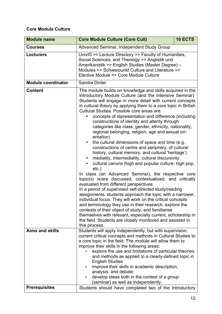#### **Core Module Culture**

| <b>Module name</b>        | <b>Core Module Culture (Core Cult)</b>                                                                                                                                                                                                                                                                                                                                                                                                                                                                                                                                                                                                                                                                                                                                                                                                                                                                                                                                                                                                                                                                                                                                                                                                                                                                                                                                                                                                                    | 10 ECTS |
|---------------------------|-----------------------------------------------------------------------------------------------------------------------------------------------------------------------------------------------------------------------------------------------------------------------------------------------------------------------------------------------------------------------------------------------------------------------------------------------------------------------------------------------------------------------------------------------------------------------------------------------------------------------------------------------------------------------------------------------------------------------------------------------------------------------------------------------------------------------------------------------------------------------------------------------------------------------------------------------------------------------------------------------------------------------------------------------------------------------------------------------------------------------------------------------------------------------------------------------------------------------------------------------------------------------------------------------------------------------------------------------------------------------------------------------------------------------------------------------------------|---------|
| <b>Courses</b>            | Advanced Seminar, Independent Study Group                                                                                                                                                                                                                                                                                                                                                                                                                                                                                                                                                                                                                                                                                                                                                                                                                                                                                                                                                                                                                                                                                                                                                                                                                                                                                                                                                                                                                 |         |
| <b>Lecturers</b>          | UnivIS >> Lecture Directory >> Faculty of Humanities,<br>Social Sciences, and Theology >> Anglistik und<br>Amerikanistik >> English Studies (Master Degree) -<br>Modules >> Schwerpunkt Culture and Literature >><br>Elective Module >> Core Module Culture                                                                                                                                                                                                                                                                                                                                                                                                                                                                                                                                                                                                                                                                                                                                                                                                                                                                                                                                                                                                                                                                                                                                                                                               |         |
| <b>Module coordinator</b> | Sandra Dinter                                                                                                                                                                                                                                                                                                                                                                                                                                                                                                                                                                                                                                                                                                                                                                                                                                                                                                                                                                                                                                                                                                                                                                                                                                                                                                                                                                                                                                             |         |
| <b>Content</b>            | The module builds on knowledge and skills acquired in the<br>Introductory Module Culture (and the Intensive Seminar).<br>Students will engage in more detail with current concepts<br>in cultural theory by applying them to a core topic in British<br>Cultural Studies. Possible core areas are:<br>concepts of representation and difference (including<br>constructions of identity and alterity through<br>categories like class, gender, ethnicity, nationality,<br>regional belonging, religion, age and sexual ori-<br>entation)<br>the cultural dimensions of space and time (e.g.<br>٠<br>constructions of centre and periphery, of cultural<br>history, cultural memory, and cultural 'heritage')<br>mediality, intermediality, cultural discursivity<br>٠<br>cultural canons (high and popular culture; high pop,<br>$etc.$ )<br>In class (an Advanced Seminar), the respective core<br>topic(s) is/are discussed, contextualized, and critically<br>evaluated from different perspectives.<br>In a period of supervised self-directed study/reading<br>assignments, students approach the topic with a narrower,<br>individual focus. They will work on the critical concepts<br>and terminology they use in their research, explore the<br>contexts of their object of study, and familiarise<br>themselves with relevant, especially current, scholarship in<br>the field. Students are closely monitored and assisted in<br>this process. |         |
| <b>Aims and skills</b>    | Students will apply independently, but with supervision,<br>current critical concepts and methods in Cultural Studies to<br>a core topic in the field. The module will allow them to<br>improve their skills in the following areas:<br>explore the use and limitations of particular theories<br>and methods as applied to a clearly-defined topic in<br><b>English Studies</b><br>improve their skills in academic description,<br>analysis, and debate<br>develop ideas both in the context of a group<br>(seminar) as well as independently                                                                                                                                                                                                                                                                                                                                                                                                                                                                                                                                                                                                                                                                                                                                                                                                                                                                                                           |         |
| <b>Prerequisites</b>      | Students should have completed two of the Introductory                                                                                                                                                                                                                                                                                                                                                                                                                                                                                                                                                                                                                                                                                                                                                                                                                                                                                                                                                                                                                                                                                                                                                                                                                                                                                                                                                                                                    |         |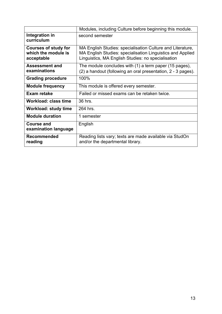|                                                                  | Modules, including Culture before beginning this module.                                                                                                                       |
|------------------------------------------------------------------|--------------------------------------------------------------------------------------------------------------------------------------------------------------------------------|
| Integration in<br>curriculum                                     | second semester                                                                                                                                                                |
| <b>Courses of study for</b><br>which the module is<br>acceptable | MA English Studies: specialisation Culture and Literature,<br>MA English Studies: specialisation Linguistics and Applied<br>Linguistics, MA English Studies: no specialisation |
| <b>Assessment and</b><br>examinations                            | The module concludes with (1) a term paper (15 pages),<br>(2) a handout (following an oral presentation, 2 - 3 pages).                                                         |
| <b>Grading procedure</b>                                         | 100%                                                                                                                                                                           |
| <b>Module frequency</b>                                          | This module is offered every semester.                                                                                                                                         |
| Exam retake                                                      | Failed or missed exams can be retaken twice.                                                                                                                                   |
| <b>Workload: class time</b>                                      | 36 hrs.                                                                                                                                                                        |
| <b>Workload: study time</b>                                      | 264 hrs.                                                                                                                                                                       |
| <b>Module duration</b>                                           | 1 semester                                                                                                                                                                     |
| Course and<br>examination language                               | English                                                                                                                                                                        |
| <b>Recommended</b><br>reading                                    | Reading lists vary; texts are made available via StudOn<br>and/or the departmental library.                                                                                    |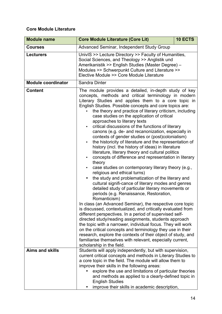#### **Core Module Literature**

| <b>Module name</b>        | <b>Core Module Literature (Core Lit)</b>                                                                                                                                                                                                                                                                                                                                                                                                                                                                                                                                                                                                                                                                                                                                                                                                                                                                                                                                                                                                                                                                                                                                                                                                                                                                                                                                                                                                                                                                                                                                                                                                                     | 10 ECTS |
|---------------------------|--------------------------------------------------------------------------------------------------------------------------------------------------------------------------------------------------------------------------------------------------------------------------------------------------------------------------------------------------------------------------------------------------------------------------------------------------------------------------------------------------------------------------------------------------------------------------------------------------------------------------------------------------------------------------------------------------------------------------------------------------------------------------------------------------------------------------------------------------------------------------------------------------------------------------------------------------------------------------------------------------------------------------------------------------------------------------------------------------------------------------------------------------------------------------------------------------------------------------------------------------------------------------------------------------------------------------------------------------------------------------------------------------------------------------------------------------------------------------------------------------------------------------------------------------------------------------------------------------------------------------------------------------------------|---------|
| <b>Courses</b>            | <b>Advanced Seminar, Independent Study Group</b>                                                                                                                                                                                                                                                                                                                                                                                                                                                                                                                                                                                                                                                                                                                                                                                                                                                                                                                                                                                                                                                                                                                                                                                                                                                                                                                                                                                                                                                                                                                                                                                                             |         |
| <b>Lecturers</b>          | UnivIS >> Lecture Directory >> Faculty of Humanities,<br>Social Sciences, and Theology >> Anglistik und<br>Amerikanistik >> English Studies (Master Degree) -<br>Modules >> Schwerpunkt Culture and Literature >><br>Elective Module >> Core Module Literature                                                                                                                                                                                                                                                                                                                                                                                                                                                                                                                                                                                                                                                                                                                                                                                                                                                                                                                                                                                                                                                                                                                                                                                                                                                                                                                                                                                               |         |
| <b>Module coordinator</b> | Sandra Dinter                                                                                                                                                                                                                                                                                                                                                                                                                                                                                                                                                                                                                                                                                                                                                                                                                                                                                                                                                                                                                                                                                                                                                                                                                                                                                                                                                                                                                                                                                                                                                                                                                                                |         |
| <b>Content</b>            | The module provides a detailed, in-depth study of key<br>concepts, methods and critical terminology in modern<br>Literary Studies and applies them to a core topic in<br>English Studies. Possible concepts and core topics are:<br>the theory and practice of literary criticism, including<br>case studies on the application of critical<br>approaches to literary texts<br>critical discussions of the functions of literary<br>canons (e.g. de- and recanonization, especially in<br>contexts of gender studies or (post)colonialism)<br>the historicity of literature and the representation of<br>history (incl. the history of ideas) in literature<br>literature, literary theory and cultural politics<br>concepts of difference and representation in literary<br>$\bullet$<br>theory<br>case studies on contemporary literary theory (e.g.,<br>religious and ethical turns)<br>the study and problematization of the literary and<br>cultural signifi-cance of literary modes and genres<br>detailed study of particular literary movements or<br>periods (e.g. Renaissance, Restoration,<br>Romanticism)<br>In class (an Advanced Seminar), the respective core topic<br>is discussed, contextualized, and critically evaluated from<br>different perspectives. In a period of supervised self-<br>directed study/reading assignments, students approach<br>the topic with a narrower, individual focus. They will work<br>on the critical concepts and terminology they use in their<br>research, explore the contexts of their object of study, and<br>familiarise themselves with relevant, especially current,<br>scholarship in the field. |         |
| <b>Aims and skills</b>    | Students will apply independently, but with supervision,<br>current critical concepts and methods in Literary Studies to<br>a core topic in the field. The module will allow them to<br>improve their skills in the following areas:<br>explore the use and limitations of particular theories<br>and methods as applied to a clearly-defined topic in<br><b>English Studies</b><br>improve their skills in academic description,                                                                                                                                                                                                                                                                                                                                                                                                                                                                                                                                                                                                                                                                                                                                                                                                                                                                                                                                                                                                                                                                                                                                                                                                                            |         |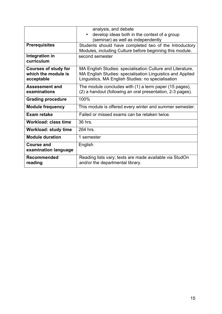|                                                                  | analysis, and debate<br>develop ideas both in the context of a group<br>$\bullet$<br>(seminar) as well as independently                                                        |
|------------------------------------------------------------------|--------------------------------------------------------------------------------------------------------------------------------------------------------------------------------|
| <b>Prerequisites</b>                                             | Students should have completed two of the Introductory<br>Modules, including Culture before beginning this module.                                                             |
| Integration in<br>curriculum                                     | second semester                                                                                                                                                                |
| <b>Courses of study for</b><br>which the module is<br>acceptable | MA English Studies: specialisation Culture and Literature,<br>MA English Studies: specialisation Linguistics and Applied<br>Linguistics, MA English Studies: no specialisation |
| Assessment and<br>examinations                                   | The module concludes with (1) a term paper (15 pages),<br>(2) a handout (following an oral presentation, 2-3 pages).                                                           |
| <b>Grading procedure</b>                                         | 100%                                                                                                                                                                           |
| <b>Module frequency</b>                                          | This module is offered every winter and summer semester.                                                                                                                       |
| Exam retake                                                      | Failed or missed exams can be retaken twice.                                                                                                                                   |
| Workload: class time                                             | 36 hrs.                                                                                                                                                                        |
| <b>Workload: study time</b>                                      | 264 hrs.                                                                                                                                                                       |
| <b>Module duration</b>                                           | 1 semester                                                                                                                                                                     |
| <b>Course and</b><br>examination language                        | English                                                                                                                                                                        |
| <b>Recommended</b><br>reading                                    | Reading lists vary; texts are made available via StudOn<br>and/or the departmental library.                                                                                    |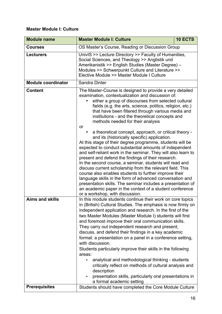#### **Master Module I: Culture**

| <b>Module name</b>        | <b>Master Module I: Culture</b>                                                                                                                                                                                                                                                                                                                                                                                                                                                                                                                                                                                                                                                                                                                                                                                                                                                                                                                                                                                                                                                                                     | 10 ECTS |
|---------------------------|---------------------------------------------------------------------------------------------------------------------------------------------------------------------------------------------------------------------------------------------------------------------------------------------------------------------------------------------------------------------------------------------------------------------------------------------------------------------------------------------------------------------------------------------------------------------------------------------------------------------------------------------------------------------------------------------------------------------------------------------------------------------------------------------------------------------------------------------------------------------------------------------------------------------------------------------------------------------------------------------------------------------------------------------------------------------------------------------------------------------|---------|
| <b>Courses</b>            | OS Master's Course, Reading or Discussion Group                                                                                                                                                                                                                                                                                                                                                                                                                                                                                                                                                                                                                                                                                                                                                                                                                                                                                                                                                                                                                                                                     |         |
| <b>Lecturers</b>          | UnivIS >> Lecture Directory >> Faculty of Humanities,<br>Social Sciences, and Theology >> Anglistik und<br>Amerikanistik >> English Studies (Master Degree) -<br>Modules >> Schwerpunkt Culture and Literature >><br>Elective Module >> Master Module I Culture                                                                                                                                                                                                                                                                                                                                                                                                                                                                                                                                                                                                                                                                                                                                                                                                                                                     |         |
| <b>Module coordinator</b> | Sandra Dinter                                                                                                                                                                                                                                                                                                                                                                                                                                                                                                                                                                                                                                                                                                                                                                                                                                                                                                                                                                                                                                                                                                       |         |
| <b>Content</b>            | The Master-Course is designed to provide a very detailed<br>examination, contextualization and discussion of:<br>either a group of discourses from selected cultural<br>fields (e.g. the arts, science, politics, religion, etc.)<br>that have been filtered through various media and<br>institutions - and the theoretical concepts and<br>methods needed for their analysis<br>or<br>a theoretical concept, approach, or critical theory -<br>and its (historically specific) application.<br>At this stage of their degree programme, students will be<br>expected to conduct substantial amounts of independent<br>and self-reliant work in the seminar. They will also learn to<br>present and defend the findings of their research.<br>In the second course, a seminar, students will read and<br>discuss current scholarship from the relevant field. This<br>course also enables students to further improve their<br>language skills in the form of advanced conversation and<br>presentation skills. The seminar includes a presentation of<br>an academic paper in the context of a student conference |         |
| <b>Aims and skills</b>    | or a workshop, with discussion.<br>In this module students continue their work on core topics<br>in (British) Cultural Studies. The emphasis is now firmly on<br>independent application and research. In the first of the<br>two Master Modules (Master Module I) students will first<br>and foremost improve their oral communication skills.<br>They carry out independent research and present,<br>discuss, and defend their findings in a key academic<br>format: a presentation on a panel in a conference setting,<br>with discussion.<br>Students particularly improve their skills in the following<br>areas:<br>analytical and methodological thinking - students<br>critically reflect on methods of cultural analysis and<br>description<br>presentation skills, particularly oral presentations in<br>a formal academic setting                                                                                                                                                                                                                                                                        |         |
| <b>Prerequisites</b>      | Students should have completed the Core Module Culture                                                                                                                                                                                                                                                                                                                                                                                                                                                                                                                                                                                                                                                                                                                                                                                                                                                                                                                                                                                                                                                              |         |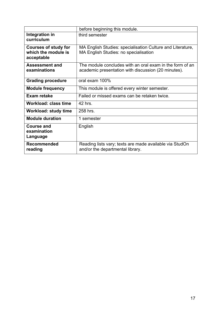|                                                                  | before beginning this module.                                                                                   |
|------------------------------------------------------------------|-----------------------------------------------------------------------------------------------------------------|
| Integration in<br>curriculum                                     | third semester                                                                                                  |
| <b>Courses of study for</b><br>which the module is<br>acceptable | MA English Studies: specialisation Culture and Literature,<br><b>MA English Studies: no specialisation</b>      |
| <b>Assessment and</b><br>examinations                            | The module concludes with an oral exam in the form of an<br>academic presentation with discussion (20 minutes). |
| <b>Grading procedure</b>                                         | oral exam 100%                                                                                                  |
| <b>Module frequency</b>                                          | This module is offered every winter semester.                                                                   |
| Exam retake                                                      | Failed or missed exams can be retaken twice.                                                                    |
| Workload: class time                                             | 42 hrs.                                                                                                         |
| Workload: study time                                             | 258 hrs.                                                                                                        |
| <b>Module duration</b>                                           | 1 semester                                                                                                      |
| Course and<br>examination<br>Language                            | English                                                                                                         |
| <b>Recommended</b><br>reading                                    | Reading lists vary; texts are made available via StudOn<br>and/or the departmental library.                     |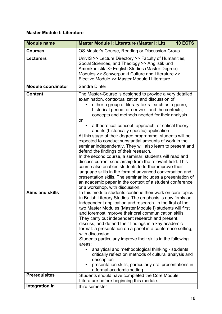#### **Master Module I: Literature**

| <b>Module name</b>        | 10 ECTS<br>Master Module I: Literature (Master I: Lit)                                                                                                                                                                                                                                                                                                                                                                                                                                                                                                                                                                                                                                                                                                                                                                                                                                                                                                                                                                             |  |
|---------------------------|------------------------------------------------------------------------------------------------------------------------------------------------------------------------------------------------------------------------------------------------------------------------------------------------------------------------------------------------------------------------------------------------------------------------------------------------------------------------------------------------------------------------------------------------------------------------------------------------------------------------------------------------------------------------------------------------------------------------------------------------------------------------------------------------------------------------------------------------------------------------------------------------------------------------------------------------------------------------------------------------------------------------------------|--|
| <b>Courses</b>            | OS Master's Course, Reading or Discussion Group                                                                                                                                                                                                                                                                                                                                                                                                                                                                                                                                                                                                                                                                                                                                                                                                                                                                                                                                                                                    |  |
| <b>Lecturers</b>          | UnivIS >> Lecture Directory >> Faculty of Humanities,<br>Social Sciences, and Theology >> Anglistik und<br>Amerikanistik >> English Studies (Master Degree) -<br>Modules >> Schwerpunkt Culture and Literature >><br>Elective Module >> Master Module I Literature                                                                                                                                                                                                                                                                                                                                                                                                                                                                                                                                                                                                                                                                                                                                                                 |  |
| <b>Module coordinator</b> | Sandra Dinter                                                                                                                                                                                                                                                                                                                                                                                                                                                                                                                                                                                                                                                                                                                                                                                                                                                                                                                                                                                                                      |  |
| <b>Content</b>            | The Master-Course is designed to provide a very detailed<br>examination, contextualization and discussion of:<br>either a group of literary texts - such as a genre,<br>historical period, or oeuvre - and the contexts,<br>concepts and methods needed for their analysis<br>or<br>a theoretical concept, approach, or critical theory -<br>and its (historically specific) application<br>At this stage of their degree programme, students will be<br>expected to conduct substantial amounts of work in the<br>seminar independently. They will also learn to present and<br>defend the findings of their research.<br>In the second course, a seminar, students will read and<br>discuss current scholarship from the relevant field. This<br>course also enables students to further improve their<br>language skills in the form of advanced conversation and<br>presentation skills. The seminar includes a presentation of<br>an academic paper in the context of a student conference<br>or a workshop, with discussion. |  |
| <b>Aims and skills</b>    | In this module students continue their work on core topics<br>in British Literary Studies. The emphasis is now firmly on<br>independent application and research. In the first of the<br>two Master Modules (Master Module I) students will first<br>and foremost improve their oral communication skills.<br>They carry out independent research and present,<br>discuss, and defend their findings in a key academic<br>format: a presentation on a panel in a conference setting,<br>with discussion.<br>Students particularly improve their skills in the following<br>areas:<br>analytical and methodological thinking - students<br>critically reflect on methods of cultural analysis and<br>description<br>presentation skills, particularly oral presentations in<br>a formal academic setting                                                                                                                                                                                                                            |  |
| <b>Prerequisites</b>      | Students should have completed the Core Module<br>Literature before beginning this module.                                                                                                                                                                                                                                                                                                                                                                                                                                                                                                                                                                                                                                                                                                                                                                                                                                                                                                                                         |  |
| Integration in            | third semester                                                                                                                                                                                                                                                                                                                                                                                                                                                                                                                                                                                                                                                                                                                                                                                                                                                                                                                                                                                                                     |  |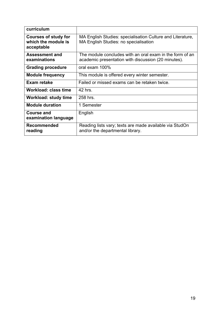| curriculum                                                       |                                                                                                                 |
|------------------------------------------------------------------|-----------------------------------------------------------------------------------------------------------------|
| <b>Courses of study for</b><br>which the module is<br>acceptable | MA English Studies: specialisation Culture and Literature,<br>MA English Studies: no specialisation             |
| <b>Assessment and</b><br>examinations                            | The module concludes with an oral exam in the form of an<br>academic presentation with discussion (20 minutes). |
| <b>Grading procedure</b>                                         | oral exam 100%                                                                                                  |
| <b>Module frequency</b>                                          | This module is offered every winter semester.                                                                   |
| <b>Exam retake</b>                                               | Failed or missed exams can be retaken twice.                                                                    |
| Workload: class time                                             | 42 hrs.                                                                                                         |
| Workload: study time                                             | 258 hrs.                                                                                                        |
| <b>Module duration</b>                                           | 1 Semester                                                                                                      |
| <b>Course and</b><br>examination language                        | English                                                                                                         |
| <b>Recommended</b><br>reading                                    | Reading lists vary; texts are made available via StudOn<br>and/or the departmental library.                     |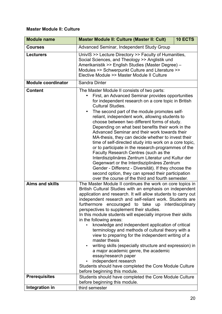#### **Master Module II: Culture**

| <b>Module name</b>        | <b>Master Module II: Culture (Master II: Cult)</b>                                                                                                                                                                                                                                                                                                                                                                                                                                                                                                                                                                                                                                                                                                                                                                                                                                                                                    | 10 ECTS |
|---------------------------|---------------------------------------------------------------------------------------------------------------------------------------------------------------------------------------------------------------------------------------------------------------------------------------------------------------------------------------------------------------------------------------------------------------------------------------------------------------------------------------------------------------------------------------------------------------------------------------------------------------------------------------------------------------------------------------------------------------------------------------------------------------------------------------------------------------------------------------------------------------------------------------------------------------------------------------|---------|
| <b>Courses</b>            | Advanced Seminar, Independent Study Group                                                                                                                                                                                                                                                                                                                                                                                                                                                                                                                                                                                                                                                                                                                                                                                                                                                                                             |         |
| <b>Lecturers</b>          | UnivIS >> Lecture Directory >> Faculty of Humanities,<br>Social Sciences, and Theology >> Anglistik und<br>Amerikanistik >> English Studies (Master Degree) -<br>Modules >> Schwerpunkt Culture and Literature >><br>Elective Module >> Master Module II Culture                                                                                                                                                                                                                                                                                                                                                                                                                                                                                                                                                                                                                                                                      |         |
| <b>Module coordinator</b> | Sandra Dinter                                                                                                                                                                                                                                                                                                                                                                                                                                                                                                                                                                                                                                                                                                                                                                                                                                                                                                                         |         |
| <b>Content</b>            | The Master Module II consists of two parts:<br>First, an Advanced Seminar provides opportunities<br>for independent research on a core topic in British<br><b>Cultural Studies.</b><br>The second part of the module promotes self-<br>$\bullet$<br>reliant, independent work, allowing students to<br>choose between two different forms of study.<br>Depending on what best benefits their work in the<br>Advanced Seminar and their work towards their<br>MA-thesis, they can decide whether to invest their<br>time of self-directed study into work on a core topic,<br>or to participate in the research-programmes of the<br>Faculty Research Centres (such as the<br>Interdisziplinäres Zentrum Literatur und Kultur der<br>Gegenwart or the Interdisziplinäres Zentrum<br>Gender - Differenz - Diversität). If they choose the<br>second option, they can spread their participation                                         |         |
| <b>Aims and skills</b>    | over the course of the third and fourth semester.<br>The Master Module II continues the work on core topics in<br>British Cultural Studies with an emphasis on independent<br>application and research. It will allow students to carry out<br>independent research and self-reliant work. Students are<br>furthermore encouraged to take up interdisciplinary<br>perspectives to supplement their studies.<br>In this module students will especially improve their skills<br>in the following areas:<br>knowledge and independent application of critical<br>terminology and methods of cultural theory with a<br>view to preparing for the independent writing of a<br>master thesis<br>writing skills (especially structure and expression) in<br>a major academic genre, the academic<br>essay/research paper<br>independent research<br>Students should have completed the Core Module Culture<br>before beginning this module. |         |
| <b>Prerequisites</b>      | Students should have completed the Core Module Culture<br>before beginning this module.                                                                                                                                                                                                                                                                                                                                                                                                                                                                                                                                                                                                                                                                                                                                                                                                                                               |         |
| Integration in            | third semester                                                                                                                                                                                                                                                                                                                                                                                                                                                                                                                                                                                                                                                                                                                                                                                                                                                                                                                        |         |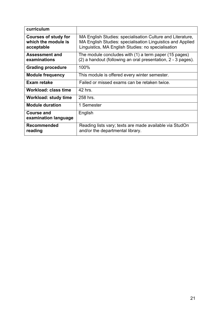| curriculum                                                       |                                                                                                                                                                                |
|------------------------------------------------------------------|--------------------------------------------------------------------------------------------------------------------------------------------------------------------------------|
| <b>Courses of study for</b><br>which the module is<br>acceptable | MA English Studies: specialisation Culture and Literature,<br>MA English Studies: specialisation Linguistics and Applied<br>Linguistics, MA English Studies: no specialisation |
| <b>Assessment and</b><br>examinations                            | The module concludes with (1) a term paper (15 pages)<br>(2) a handout (following an oral presentation, 2 - 3 pages).                                                          |
| <b>Grading procedure</b>                                         | 100%                                                                                                                                                                           |
| <b>Module frequency</b>                                          | This module is offered every winter semester.                                                                                                                                  |
| Exam retake                                                      | Failed or missed exams can be retaken twice.                                                                                                                                   |
| Workload: class time                                             | 42 hrs.                                                                                                                                                                        |
| Workload: study time                                             | 258 hrs.                                                                                                                                                                       |
| <b>Module duration</b>                                           | 1 Semester                                                                                                                                                                     |
| <b>Course and</b><br>examination language                        | English                                                                                                                                                                        |
| <b>Recommended</b><br>reading                                    | Reading lists vary; texts are made available via StudOn<br>and/or the departmental library.                                                                                    |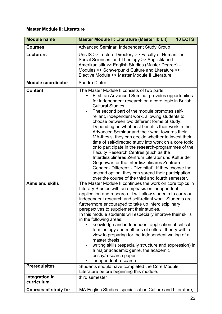#### **Master Module II: Literature**

| <b>Module name</b>          | Master Module II: Literature (Master II: Lit)                                                                                                                                                                                                                                                                                                                                                                                                                                                                                                                                                                                                                                                                                                                                                                                                                                                                                         | 10 ECTS |
|-----------------------------|---------------------------------------------------------------------------------------------------------------------------------------------------------------------------------------------------------------------------------------------------------------------------------------------------------------------------------------------------------------------------------------------------------------------------------------------------------------------------------------------------------------------------------------------------------------------------------------------------------------------------------------------------------------------------------------------------------------------------------------------------------------------------------------------------------------------------------------------------------------------------------------------------------------------------------------|---------|
| <b>Courses</b>              | Advanced Seminar, Independent Study Group                                                                                                                                                                                                                                                                                                                                                                                                                                                                                                                                                                                                                                                                                                                                                                                                                                                                                             |         |
| <b>Lecturers</b>            | UnivIS >> Lecture Directory >> Faculty of Humanities,<br>Social Sciences, and Theology >> Anglistik und<br>Amerikanistik >> English Studies (Master Degree) -<br>Modules >> Schwerpunkt Culture and Literature >><br>Elective Module >> Master Module II Literature                                                                                                                                                                                                                                                                                                                                                                                                                                                                                                                                                                                                                                                                   |         |
| <b>Module coordinator</b>   | Sandra Dinter                                                                                                                                                                                                                                                                                                                                                                                                                                                                                                                                                                                                                                                                                                                                                                                                                                                                                                                         |         |
| <b>Content</b>              | The Master Module II consists of two parts:<br>First, an Advanced Seminar provides opportunities<br>for independent research on a core topic in British<br><b>Cultural Studies.</b><br>The second part of the module promotes self-<br>reliant, independent work, allowing students to<br>choose between two different forms of study.<br>Depending on what best benefits their work in the<br>Advanced Seminar and their work towards their<br>MA-thesis, they can decide whether to invest their<br>time of self-directed study into work on a core topic,<br>or to participate in the research-programmes of the<br>Faculty Research Centres (such as the<br>Interdisziplinäres Zentrum Literatur und Kultur der<br>Gegenwart or the Interdisziplinäres Zentrum<br>Gender - Differenz - Diversität). If they choose the<br>second option, they can spread their participation<br>over the course of the third and fourth semester. |         |
| <b>Aims and skills</b>      | The Master Module II continues the work on core topics in<br>Literary Studies with an emphasis on independent<br>application and research. It will allow students to carry out<br>independent research and self-reliant work. Students are<br>furthermore encouraged to take up interdisciplinary<br>perspectives to supplement their studies.<br>In this module students will especially improve their skills<br>in the following areas:<br>knowledge and independent application of critical<br>terminology and methods of cultural theory with a<br>view to preparing for the independent writing of a<br>master thesis<br>writing skills (especially structure and expression) in<br>a major academic genre, the academic<br>essay/research paper<br>independent research                                                                                                                                                         |         |
| <b>Prerequisites</b>        | Students should have completed the Core Module                                                                                                                                                                                                                                                                                                                                                                                                                                                                                                                                                                                                                                                                                                                                                                                                                                                                                        |         |
| Integration in              | Literature before beginning this module.<br>third semester                                                                                                                                                                                                                                                                                                                                                                                                                                                                                                                                                                                                                                                                                                                                                                                                                                                                            |         |
| curriculum                  |                                                                                                                                                                                                                                                                                                                                                                                                                                                                                                                                                                                                                                                                                                                                                                                                                                                                                                                                       |         |
| <b>Courses of study for</b> | MA English Studies: specialisation Culture and Literature,                                                                                                                                                                                                                                                                                                                                                                                                                                                                                                                                                                                                                                                                                                                                                                                                                                                                            |         |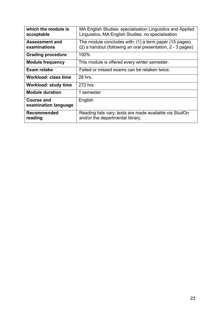| which the module is<br>acceptable     | MA English Studies: specialisation Linguistics and Applied<br>Linguistics, MA English Studies: no specialisation      |
|---------------------------------------|-----------------------------------------------------------------------------------------------------------------------|
| <b>Assessment and</b><br>examinations | The module concludes with: (1) a term paper (15 pages)<br>(2) a handout (following an oral presentation, 2 - 3 pages) |
| <b>Grading procedure</b>              | 100%                                                                                                                  |
| <b>Module frequency</b>               | This module is offered every winter semester.                                                                         |
| Exam retake                           | Failed or missed exams can be retaken twice.                                                                          |
| <b>Workload: class time</b>           | 28 hrs.                                                                                                               |
| <b>Workload: study time</b>           | 272 hrs.                                                                                                              |
| <b>Module duration</b>                | 1 semester                                                                                                            |
| Course and<br>examination language    | English                                                                                                               |
| <b>Recommended</b><br>reading         | Reading lists vary; texts are made available via StudOn<br>and/or the departmental library.                           |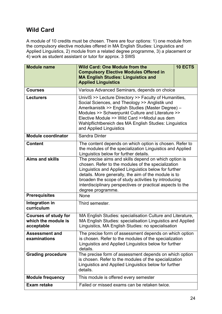### **Wild Card**

A module of 10 credits must be chosen. There are four options: 1) one module from the compulsory elective modules offered in MA English Studies: Linguistics and Applied Linguistics, 2) module from a related degree programme, 3) a placement or 4) work as student assistant or tutor for approx. 3 SWS

| <b>Module name</b>                                               | <b>10 ECTS</b><br><b>Wild Card: One Module from the</b><br><b>Compulsory Elective Modules Offered in</b><br><b>MA English Studies: Linguistics and</b><br><b>Applied Linguistics</b>                                                                                                                                                                                    |  |
|------------------------------------------------------------------|-------------------------------------------------------------------------------------------------------------------------------------------------------------------------------------------------------------------------------------------------------------------------------------------------------------------------------------------------------------------------|--|
| <b>Courses</b>                                                   | Various Advanced Seminars, depends on choice                                                                                                                                                                                                                                                                                                                            |  |
| <b>Lecturers</b>                                                 | UnivIS >> Lecture Directory >> Faculty of Humanities,<br>Social Sciences, and Theology >> Anglistik und<br>Amerikanistik >> English Studies (Master Degree) -<br>Modules >> Schwerpunkt Culture and Literature >><br>Elective Module >> Wild Card >>Modul aus dem<br>Wahlpflichtbereich des MA English Studies: Linguistics<br>and Applied Linguistics                  |  |
| <b>Module coordinator</b>                                        | Sandra Dinter                                                                                                                                                                                                                                                                                                                                                           |  |
| <b>Content</b>                                                   | The content depends on which option is chosen. Refer to<br>the modules of the specialization Linguistics and Applied<br>Linguistics below for further details.                                                                                                                                                                                                          |  |
| <b>Aims and skills</b>                                           | The precise aims and skills depend on which option is<br>chosen. Refer to the modules of the specialization<br>Linguistics and Applied Linguistics below for further<br>details. More generally, the aim of the module is to<br>broaden the scope of study activities by introducing<br>interdisciplinary perspectives or practical aspects to the<br>degree programme. |  |
| <b>Prerequisites</b>                                             | None                                                                                                                                                                                                                                                                                                                                                                    |  |
| Integration in<br>curriculum                                     | Third semester.                                                                                                                                                                                                                                                                                                                                                         |  |
| <b>Courses of study for</b><br>which the module is<br>acceptable | MA English Studies: specialisation Culture and Literature,<br>MA English Studies: specialisation Linguistics and Applied<br>Linguistics, MA English Studies: no specialisation                                                                                                                                                                                          |  |
| <b>Assessment and</b><br>examinations                            | The precise form of assessment depends on which option<br>is chosen. Refer to the modules of the specialization<br>Linguistics and Applied Linguistics below for further<br>details.                                                                                                                                                                                    |  |
| <b>Grading procedure</b>                                         | The precise form of assessment depends on which option<br>is chosen. Refer to the modules of the specialization<br>Linguistics and Applied Linguistics below for further<br>details.                                                                                                                                                                                    |  |
| <b>Module frequency</b>                                          | This module is offered every semester                                                                                                                                                                                                                                                                                                                                   |  |
| <b>Exam retake</b>                                               | Failed or missed exams can be retaken twice.                                                                                                                                                                                                                                                                                                                            |  |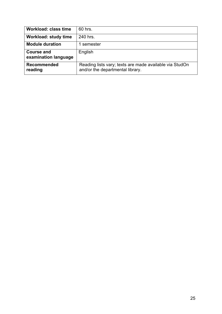| <b>Workload: class time</b>               | 60 hrs.                                                                                     |
|-------------------------------------------|---------------------------------------------------------------------------------------------|
| <b>Workload: study time</b>               | 240 hrs.                                                                                    |
| <b>Module duration</b>                    | 1 semester                                                                                  |
| <b>Course and</b><br>examination language | English                                                                                     |
| <b>Recommended</b><br>reading             | Reading lists vary; texts are made available via StudOn<br>and/or the departmental library. |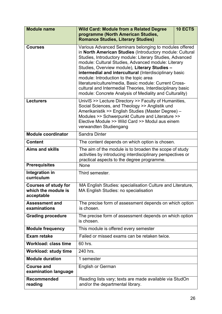| <b>Module name</b>                                               | 10 ECTS<br><b>Wild Card: Module from a Related Degree</b><br>programme (North American Studies,<br><b>Romance Studies, Literary Studies)</b>                                                                                                                                                                                                                                                                                                                                                                                                                                  |  |
|------------------------------------------------------------------|-------------------------------------------------------------------------------------------------------------------------------------------------------------------------------------------------------------------------------------------------------------------------------------------------------------------------------------------------------------------------------------------------------------------------------------------------------------------------------------------------------------------------------------------------------------------------------|--|
| <b>Courses</b>                                                   | Various Advanced Seminars belonging to modules offered<br>in North American Studies (Introductory module: Cultural<br>Studies, Introductory module: Literary Studies, Advanced<br>module: Cultural Studies, Advanced module: Literary<br>Studies, Overview module), Literary Studies -<br>intermedial and intercultural (Interdisciplinary basic<br>module: Introduction to the topic area<br>literature/culture/media, Basic module: Current Cross-<br>cultural and Intermedial Theories, Interdisciplinary basic<br>module: Concrete Analysis of Mediality and Culturality) |  |
| <b>Lecturers</b>                                                 | UnivIS >> Lecture Directory >> Faculty of Humanities,<br>Social Sciences, and Theology >> Anglistik und<br>Amerikanistik >> English Studies (Master Degree) -<br>Modules >> Schwerpunkt Culture and Literature >><br>Elective Module >> Wild Card >> Modul aus einem<br>verwandten Studiengang                                                                                                                                                                                                                                                                                |  |
| <b>Module coordinator</b>                                        | Sandra Dinter                                                                                                                                                                                                                                                                                                                                                                                                                                                                                                                                                                 |  |
| <b>Content</b>                                                   | The content depends on which option is chosen.                                                                                                                                                                                                                                                                                                                                                                                                                                                                                                                                |  |
| <b>Aims and skills</b>                                           | The aim of the module is to broaden the scope of study<br>activities by introducing interdisciplinary perspectives or<br>practical aspects to the degree programme.                                                                                                                                                                                                                                                                                                                                                                                                           |  |
| <b>Prerequisites</b>                                             | None                                                                                                                                                                                                                                                                                                                                                                                                                                                                                                                                                                          |  |
| <b>Integration in</b><br>curriculum                              | Third semester.                                                                                                                                                                                                                                                                                                                                                                                                                                                                                                                                                               |  |
| <b>Courses of study for</b><br>which the module is<br>acceptable | MA English Studies: specialisation Culture and Literature,<br>MA English Studies: no specialisation                                                                                                                                                                                                                                                                                                                                                                                                                                                                           |  |
| <b>Assessment and</b><br>examinations                            | The precise form of assessment depends on which option<br>is chosen.                                                                                                                                                                                                                                                                                                                                                                                                                                                                                                          |  |
| <b>Grading procedure</b>                                         | The precise form of assessment depends on which option<br>is chosen.                                                                                                                                                                                                                                                                                                                                                                                                                                                                                                          |  |
| <b>Module frequency</b>                                          | This module is offered every semester                                                                                                                                                                                                                                                                                                                                                                                                                                                                                                                                         |  |
| <b>Exam retake</b>                                               | Failed or missed exams can be retaken twice.                                                                                                                                                                                                                                                                                                                                                                                                                                                                                                                                  |  |
| <b>Workload: class time</b>                                      | 60 hrs.                                                                                                                                                                                                                                                                                                                                                                                                                                                                                                                                                                       |  |
| <b>Workload: study time</b>                                      | 240 hrs.                                                                                                                                                                                                                                                                                                                                                                                                                                                                                                                                                                      |  |
| <b>Module duration</b>                                           | 1 semester                                                                                                                                                                                                                                                                                                                                                                                                                                                                                                                                                                    |  |
| <b>Course and</b><br>examination language                        | <b>English or German</b>                                                                                                                                                                                                                                                                                                                                                                                                                                                                                                                                                      |  |
| <b>Recommended</b><br>reading                                    | Reading lists vary; texts are made available via StudOn<br>and/or the departmental library.                                                                                                                                                                                                                                                                                                                                                                                                                                                                                   |  |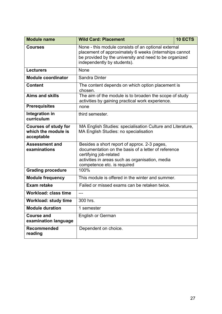| <b>Module name</b>                                               | <b>Wild Card: Placement</b>                                                                                                                                                                                     | <b>10 ECTS</b> |
|------------------------------------------------------------------|-----------------------------------------------------------------------------------------------------------------------------------------------------------------------------------------------------------------|----------------|
| <b>Courses</b>                                                   | None - this module consists of an optional external<br>placement of approximately 6 weeks (internships cannot<br>be provided by the university and need to be organized<br>independently by students).          |                |
| <b>Lecturers</b>                                                 | None                                                                                                                                                                                                            |                |
| <b>Module coordinator</b>                                        | Sandra Dinter                                                                                                                                                                                                   |                |
| <b>Content</b>                                                   | The content depends on which option placement is<br>chosen.                                                                                                                                                     |                |
| <b>Aims and skills</b>                                           | The aim of the module is to broaden the scope of study<br>activities by gaining practical work experience.                                                                                                      |                |
| <b>Prerequisites</b>                                             | none                                                                                                                                                                                                            |                |
| Integration in<br>curriculum                                     | third semester.                                                                                                                                                                                                 |                |
| <b>Courses of study for</b><br>which the module is<br>acceptable | MA English Studies: specialisation Culture and Literature,<br>MA English Studies: no specialisation                                                                                                             |                |
| <b>Assessment and</b><br>examinations                            | Besides a short report of approx. 2-3 pages,<br>documentation on the basis of a letter of reference<br>certifying job-related<br>activities in areas such as organisation, media<br>competence etc. is required |                |
| <b>Grading procedure</b>                                         | 100%                                                                                                                                                                                                            |                |
| <b>Module frequency</b>                                          | This module is offered in the winter and summer.                                                                                                                                                                |                |
| Exam retake                                                      | Failed or missed exams can be retaken twice.                                                                                                                                                                    |                |
| <b>Workload: class time</b>                                      | ---                                                                                                                                                                                                             |                |
| <b>Workload: study time</b>                                      | 300 hrs.                                                                                                                                                                                                        |                |
| <b>Module duration</b>                                           | 1 semester                                                                                                                                                                                                      |                |
| <b>Course and</b><br>examination language                        | <b>English or German</b>                                                                                                                                                                                        |                |
| <b>Recommended</b><br>reading                                    | Dependent on choice.                                                                                                                                                                                            |                |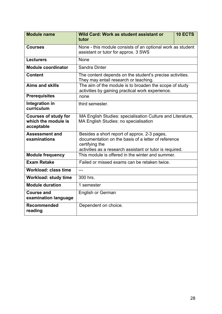| <b>Module name</b>                                               | Wild Card: Work as student assistant or<br><b>10 ECTS</b><br>tutor                                                                                                                |  |
|------------------------------------------------------------------|-----------------------------------------------------------------------------------------------------------------------------------------------------------------------------------|--|
| <b>Courses</b>                                                   | None - this module consists of an optional work as student<br>assistant or tutor for approx. 3 SWS                                                                                |  |
| <b>Lecturers</b>                                                 | None                                                                                                                                                                              |  |
| <b>Module coordinator</b>                                        | Sandra Dinter                                                                                                                                                                     |  |
| <b>Content</b>                                                   | The content depends on the student's precise activities.<br>They may entail research or teaching.                                                                                 |  |
| <b>Aims and skills</b>                                           | The aim of the module is to broaden the scope of study<br>activities by gaining practical work experience.                                                                        |  |
| <b>Prerequisites</b>                                             | none                                                                                                                                                                              |  |
| Integration in<br>curriculum                                     | third semester.                                                                                                                                                                   |  |
| <b>Courses of study for</b><br>which the module is<br>acceptable | MA English Studies: specialisation Culture and Literature,<br>MA English Studies: no specialisation                                                                               |  |
| <b>Assessment and</b><br>examinations                            | Besides a short report of approx. 2-3 pages,<br>documentation on the basis of a letter of reference<br>certifying the<br>activities as a research assistant or tutor is required. |  |
| <b>Module frequency</b>                                          | This module is offered in the winter and summer.                                                                                                                                  |  |
| <b>Exam Retake</b>                                               | Failed or missed exams can be retaken twice.                                                                                                                                      |  |
| <b>Workload: class time</b>                                      | $---$                                                                                                                                                                             |  |
| <b>Workload: study time</b>                                      | 300 hrs.                                                                                                                                                                          |  |
| <b>Module duration</b>                                           | 1 semester                                                                                                                                                                        |  |
| <b>Course and</b><br>examination language                        | <b>English or German</b>                                                                                                                                                          |  |
| <b>Recommended</b><br>reading                                    | Dependent on choice.                                                                                                                                                              |  |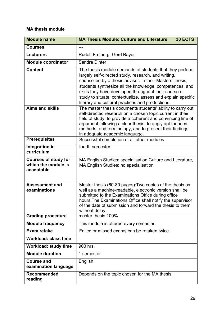#### **MA thesis module**

| <b>Module name</b>                                               | <b>MA Thesis Module: Culture and Literature</b>                                                                                                                                                                                                                                                                                                                                                                     | <b>30 ECTS</b> |
|------------------------------------------------------------------|---------------------------------------------------------------------------------------------------------------------------------------------------------------------------------------------------------------------------------------------------------------------------------------------------------------------------------------------------------------------------------------------------------------------|----------------|
| <b>Courses</b>                                                   | ---                                                                                                                                                                                                                                                                                                                                                                                                                 |                |
| <b>Lecturers</b>                                                 | Rudolf Freiburg, Gerd Bayer                                                                                                                                                                                                                                                                                                                                                                                         |                |
| <b>Module coordinator</b>                                        | Sandra Dinter                                                                                                                                                                                                                                                                                                                                                                                                       |                |
| <b>Content</b>                                                   | The thesis module demands of students that they perform<br>largely self-directed study, research, and writing,<br>counselled by a thesis advisor. In their Masters' thesis,<br>students synthesize all the knowledge, competences, and<br>skills they have developed throughout their course of<br>study to situate, contextualize, assess and explain specific<br>literary and cultural practices and productions. |                |
| <b>Aims and skills</b>                                           | The master thesis documents students' ability to carry out<br>self-directed research on a chosen topic current in their<br>field of study, to provide a coherent and convincing line of<br>argument following a clear thesis, to apply apt theories,<br>methods, and terminology, and to present their findings<br>in adequate academic language.                                                                   |                |
| <b>Prerequisites</b>                                             | Successful completion of all other modules                                                                                                                                                                                                                                                                                                                                                                          |                |
| Integration in<br>curriculum                                     | fourth semester                                                                                                                                                                                                                                                                                                                                                                                                     |                |
| <b>Courses of study for</b><br>which the module is<br>acceptable | MA English Studies: specialisation Culture and Literature,<br>MA English Studies: no specialisation                                                                                                                                                                                                                                                                                                                 |                |
| <b>Assessment and</b><br>examinations                            | Master thesis (60-80 pages). Two copies of the thesis as<br>well as a machine-readable, electronic version shall be<br>submitted to the Examinations Office during office<br>hours. The Examinations Office shall notify the supervisor<br>of the date of submission and forward the thesis to them<br>without delay.                                                                                               |                |
| <b>Grading procedure</b>                                         | master thesis 100%                                                                                                                                                                                                                                                                                                                                                                                                  |                |
| <b>Module frequency</b>                                          | This module is offered every semester.                                                                                                                                                                                                                                                                                                                                                                              |                |
| <b>Exam retake</b>                                               | Failed or missed exams can be retaken twice.                                                                                                                                                                                                                                                                                                                                                                        |                |
| <b>Workload: class time</b>                                      |                                                                                                                                                                                                                                                                                                                                                                                                                     |                |
| <b>Workload: study time</b>                                      | 900 hrs.                                                                                                                                                                                                                                                                                                                                                                                                            |                |
| <b>Module duration</b>                                           | 1 semester                                                                                                                                                                                                                                                                                                                                                                                                          |                |
| <b>Course and</b><br>examination language                        | English                                                                                                                                                                                                                                                                                                                                                                                                             |                |
| <b>Recommended</b><br>reading                                    | Depends on the topic chosen for the MA thesis.                                                                                                                                                                                                                                                                                                                                                                      |                |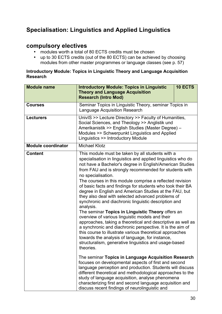### **Specialisation: Linguistics and Applied Linguistics**

#### **compulsory electives**

- modules worth a total of 80 ECTS credits must be chosen
- up to 30 ECTS credits (out of the 80 ECTS) can be achieved by choosing modules from other master programmes or language classes (see p. 57)

#### **Introductory Module: Topics in Linguistic Theory and Language Acquisition Research**

| <b>Module name</b>        | <b>Introductory Module: Topics in Linguistic</b><br><b>Theory and Language Acquisition</b><br><b>Research (Intro Mod)</b>                                                                                                                                                                                                                                                                                                                                                                                                                                                                                                                                                                                                                                                                                                                                                                                                                                                                           | 10 ECTS |
|---------------------------|-----------------------------------------------------------------------------------------------------------------------------------------------------------------------------------------------------------------------------------------------------------------------------------------------------------------------------------------------------------------------------------------------------------------------------------------------------------------------------------------------------------------------------------------------------------------------------------------------------------------------------------------------------------------------------------------------------------------------------------------------------------------------------------------------------------------------------------------------------------------------------------------------------------------------------------------------------------------------------------------------------|---------|
| <b>Courses</b>            | Seminar Topics in Linguistic Theory, seminar Topics in<br><b>Language Acquisition Research</b>                                                                                                                                                                                                                                                                                                                                                                                                                                                                                                                                                                                                                                                                                                                                                                                                                                                                                                      |         |
| <b>Lecturers</b>          | UnivIS >> Lecture Directory >> Faculty of Humanities,<br>Social Sciences, and Theology >> Anglistik und<br>Amerikanistik >> English Studies (Master Degree) -<br>Modules >> Schwerpunkt Linguistics and Applied<br>Linguistics >> Introductory Module                                                                                                                                                                                                                                                                                                                                                                                                                                                                                                                                                                                                                                                                                                                                               |         |
| <b>Module coordinator</b> | <b>Michael Klotz</b>                                                                                                                                                                                                                                                                                                                                                                                                                                                                                                                                                                                                                                                                                                                                                                                                                                                                                                                                                                                |         |
| <b>Content</b>            | This module must be taken by all students with a<br>specialisation in linguistics and applied linguistics who do<br>not have a Bachelor's degree in English/American Studies<br>from FAU and is strongly recommended for students with<br>no specialisation.<br>The courses in this module comprise a reflected revision<br>of basic facts and findings for students who took their BA<br>degree in English and American Studies at the FAU, but<br>they also deal with selected advanced problems of<br>synchronic and diachronic linguistic description and<br>analysis.<br>The seminar Topics in Linguistic Theory offers an<br>overview of various linguistic models and their<br>approaches, taking a theoretical and descriptive as well as<br>a synchronic and diachronic perspective. It is the aim of<br>this course to illustrate various theoretical approaches<br>towards the analysis of language, for instance,<br>structuralism, generative linguistics and usage-based<br>theories. |         |
|                           | The seminar Topics in Language Acquisition Research<br>focuses on developmental aspects of first and second<br>language perception and production. Students will discuss<br>different theoretical and methodological approaches to the<br>study of language acquisition, analyse phenomena<br>characterizing first and second language acquisition and<br>discuss recent findings of neurolinguistic and                                                                                                                                                                                                                                                                                                                                                                                                                                                                                                                                                                                            |         |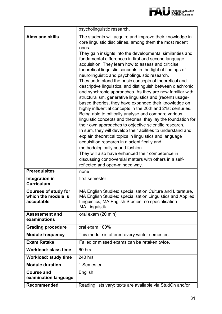

|                                                                  | psycholinguistic research.                                                                                                                                                                                                                                                                                                                                                                                                                                                                                                                                                                                                                                                                                                                                                                                                                                                                                                                                                                                                                                                                                                                                                                                          |  |
|------------------------------------------------------------------|---------------------------------------------------------------------------------------------------------------------------------------------------------------------------------------------------------------------------------------------------------------------------------------------------------------------------------------------------------------------------------------------------------------------------------------------------------------------------------------------------------------------------------------------------------------------------------------------------------------------------------------------------------------------------------------------------------------------------------------------------------------------------------------------------------------------------------------------------------------------------------------------------------------------------------------------------------------------------------------------------------------------------------------------------------------------------------------------------------------------------------------------------------------------------------------------------------------------|--|
| <b>Aims and skills</b>                                           | The students will acquire and improve their knowledge in<br>core linguistic disciplines, among them the most recent<br>ones.                                                                                                                                                                                                                                                                                                                                                                                                                                                                                                                                                                                                                                                                                                                                                                                                                                                                                                                                                                                                                                                                                        |  |
|                                                                  | They gain insights into the developmental similarities and<br>fundamental differences in first and second language<br>acquisition. They learn how to assess and criticise<br>theoretical linguistic concepts in the light of findings of<br>neurolinguistic and psycholinguistic research.<br>They understand the basic concepts of theoretical and<br>descriptive linguistics, and distinguish between diachronic<br>and synchronic approaches. As they are now familiar with<br>structuralism, generative linguistics and (recent) usage-<br>based theories, they have expanded their knowledge on<br>highly influential concepts in the 20th and 21st centuries.<br>Being able to critically analyse and compare various<br>linguistic concepts and theories, they lay the foundation for<br>their own approaches to objective scientific research.<br>In sum, they will develop their abilities to understand and<br>explain theoretical topics in linguistics and language<br>acquisition research in a scientifically and<br>methodologically sound fashion.<br>They will also have enhanced their competence in<br>discussing controversial matters with others in a self-<br>reflected and open-minded way. |  |
| <b>Prerequisites</b>                                             | none                                                                                                                                                                                                                                                                                                                                                                                                                                                                                                                                                                                                                                                                                                                                                                                                                                                                                                                                                                                                                                                                                                                                                                                                                |  |
| Integration in<br><b>Curriculum</b>                              | first semester                                                                                                                                                                                                                                                                                                                                                                                                                                                                                                                                                                                                                                                                                                                                                                                                                                                                                                                                                                                                                                                                                                                                                                                                      |  |
| <b>Courses of study for</b><br>which the module is<br>acceptable | MA English Studies: specialisation Culture and Literature,<br>MA English Studies: specialisation Linguistics and Applied<br>Linguistics, MA English Studies: no specialisation<br><b>MA Linguistik</b>                                                                                                                                                                                                                                                                                                                                                                                                                                                                                                                                                                                                                                                                                                                                                                                                                                                                                                                                                                                                              |  |
| <b>Assessment and</b><br>examinations                            | oral exam (20 min)                                                                                                                                                                                                                                                                                                                                                                                                                                                                                                                                                                                                                                                                                                                                                                                                                                                                                                                                                                                                                                                                                                                                                                                                  |  |
| <b>Grading procedure</b>                                         | oral exam 100%                                                                                                                                                                                                                                                                                                                                                                                                                                                                                                                                                                                                                                                                                                                                                                                                                                                                                                                                                                                                                                                                                                                                                                                                      |  |
| <b>Module frequency</b>                                          | This module is offered every winter semester.                                                                                                                                                                                                                                                                                                                                                                                                                                                                                                                                                                                                                                                                                                                                                                                                                                                                                                                                                                                                                                                                                                                                                                       |  |
| <b>Exam Retake</b>                                               | Failed or missed exams can be retaken twice.                                                                                                                                                                                                                                                                                                                                                                                                                                                                                                                                                                                                                                                                                                                                                                                                                                                                                                                                                                                                                                                                                                                                                                        |  |
| <b>Workload: class time</b>                                      | 60 hrs.                                                                                                                                                                                                                                                                                                                                                                                                                                                                                                                                                                                                                                                                                                                                                                                                                                                                                                                                                                                                                                                                                                                                                                                                             |  |
| <b>Workload: study time</b>                                      | 240 hrs                                                                                                                                                                                                                                                                                                                                                                                                                                                                                                                                                                                                                                                                                                                                                                                                                                                                                                                                                                                                                                                                                                                                                                                                             |  |
| <b>Module duration</b>                                           | 1 Semester                                                                                                                                                                                                                                                                                                                                                                                                                                                                                                                                                                                                                                                                                                                                                                                                                                                                                                                                                                                                                                                                                                                                                                                                          |  |
| <b>Course and</b><br>examination language                        | English                                                                                                                                                                                                                                                                                                                                                                                                                                                                                                                                                                                                                                                                                                                                                                                                                                                                                                                                                                                                                                                                                                                                                                                                             |  |
| <b>Recommended</b>                                               | Reading lists vary; texts are available via StudOn and/or                                                                                                                                                                                                                                                                                                                                                                                                                                                                                                                                                                                                                                                                                                                                                                                                                                                                                                                                                                                                                                                                                                                                                           |  |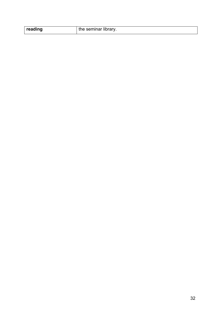| reading | the seminar library. |
|---------|----------------------|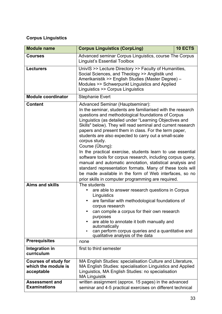#### **Corpus Linguistics**

| <b>Module name</b>                                               | <b>Corpus Linguistics (CorpLing)</b>                                                                                                                                                                                                                                                                                                                                                                                                                                                                                                                                                                                                                                                                                                                                                                         | 10 ECTS |
|------------------------------------------------------------------|--------------------------------------------------------------------------------------------------------------------------------------------------------------------------------------------------------------------------------------------------------------------------------------------------------------------------------------------------------------------------------------------------------------------------------------------------------------------------------------------------------------------------------------------------------------------------------------------------------------------------------------------------------------------------------------------------------------------------------------------------------------------------------------------------------------|---------|
| <b>Courses</b>                                                   | Advanced seminar Corpus Linguistics, course The Corpus<br><b>Linguist's Essential Toolbox</b>                                                                                                                                                                                                                                                                                                                                                                                                                                                                                                                                                                                                                                                                                                                |         |
| <b>Lecturers</b>                                                 | UnivIS >> Lecture Directory >> Faculty of Humanities,<br>Social Sciences, and Theology >> Anglistik und<br>Amerikanistik >> English Studies (Master Degree) -<br>Modules >> Schwerpunkt Linguistics and Applied<br>Linguistics >> Corpus Linguistics                                                                                                                                                                                                                                                                                                                                                                                                                                                                                                                                                         |         |
| <b>Module coordinator</b>                                        | <b>Stephanie Evert</b>                                                                                                                                                                                                                                                                                                                                                                                                                                                                                                                                                                                                                                                                                                                                                                                       |         |
| <b>Content</b>                                                   | Advanced Seminar (Hauptseminar):<br>In the seminar, students are familiarised with the research<br>questions and methodological foundations of Corpus<br>Linguistics (as detailed under "Learning Objectives and<br>Skills" below). They will read seminal and current research<br>papers and present them in class. For the term paper,<br>students are also expected to carry out a small-scale<br>corpus study.<br>Course (Übung):<br>In the practical exercise, students learn to use essential<br>software tools for corpus research, including corpus query,<br>manual and automatic annotation, statistical analysis and<br>standard representation formats. Many of these tools will<br>be made available in the form of Web interfaces, so no<br>prior skills in computer programming are required. |         |
| <b>Aims and skills</b>                                           | The students<br>are able to answer research questions in Corpus<br>Linguistics<br>are familiar with methodological foundations of<br>corpus research<br>can compile a corpus for their own research<br>purposes<br>are able to annotate it both manually and<br>automatically<br>can perform corpus queries and a quantitative and<br>$\bullet$<br>qualitative analysis of the data                                                                                                                                                                                                                                                                                                                                                                                                                          |         |
| <b>Prerequisites</b>                                             | none                                                                                                                                                                                                                                                                                                                                                                                                                                                                                                                                                                                                                                                                                                                                                                                                         |         |
| Integration in<br>curriculum                                     | first to third semester                                                                                                                                                                                                                                                                                                                                                                                                                                                                                                                                                                                                                                                                                                                                                                                      |         |
| <b>Courses of study for</b><br>which the module is<br>acceptable | MA English Studies: specialisation Culture and Literature,<br>MA English Studies: specialisation Linguistics and Applied<br>Linguistics, MA English Studies: no specialisation<br><b>MA Linguistik</b>                                                                                                                                                                                                                                                                                                                                                                                                                                                                                                                                                                                                       |         |
| <b>Assessment and</b><br><b>Examinations</b>                     | written assignment (approx. 15 pages) in the advanced<br>seminar and 4-5 practical exercises on different technical                                                                                                                                                                                                                                                                                                                                                                                                                                                                                                                                                                                                                                                                                          |         |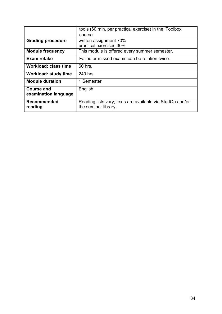|                                           | tools (60 min. per practical exercise) in the 'Toolbox'                           |
|-------------------------------------------|-----------------------------------------------------------------------------------|
|                                           | course                                                                            |
| <b>Grading procedure</b>                  | written assignment 70%<br>practical exercises 30%                                 |
| <b>Module frequency</b>                   | This module is offered every summer semester.                                     |
| Exam retake                               | Failed or missed exams can be retaken twice.                                      |
| Workload: class time                      | 60 hrs.                                                                           |
| <b>Workload: study time</b>               | 240 hrs.                                                                          |
| <b>Module duration</b>                    | 1 Semester                                                                        |
| <b>Course and</b><br>examination language | English                                                                           |
| <b>Recommended</b><br>reading             | Reading lists vary; texts are available via StudOn and/or<br>the seminar library. |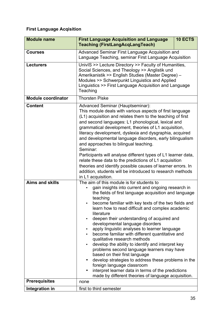#### **First Language Acqisition**

| <b>Module name</b>        | 10 ECTS<br><b>First Language Acquisition and Language</b><br><b>Teaching (FirstLangAcqLangTeach)</b>                                                                                                                                                                                                                                                                                                                                                                                                                                                                                                                                                                                                                                                                                                                                                                                 |  |
|---------------------------|--------------------------------------------------------------------------------------------------------------------------------------------------------------------------------------------------------------------------------------------------------------------------------------------------------------------------------------------------------------------------------------------------------------------------------------------------------------------------------------------------------------------------------------------------------------------------------------------------------------------------------------------------------------------------------------------------------------------------------------------------------------------------------------------------------------------------------------------------------------------------------------|--|
| <b>Courses</b>            | Advanced Seminar First Language Acquisition and<br>Language Teaching, seminar First Language Acquisition                                                                                                                                                                                                                                                                                                                                                                                                                                                                                                                                                                                                                                                                                                                                                                             |  |
| <b>Lecturers</b>          | UnivIS >> Lecture Directory >> Faculty of Humanities,<br>Social Sciences, and Theology >> Anglistik und<br>Amerikanistik >> English Studies (Master Degree) -<br>Modules >> Schwerpunkt Linguistics and Applied<br>Linguistics >> First Language Acquisition and Language<br>Teaching                                                                                                                                                                                                                                                                                                                                                                                                                                                                                                                                                                                                |  |
| <b>Module coordinator</b> | <b>Thorsten Piske</b>                                                                                                                                                                                                                                                                                                                                                                                                                                                                                                                                                                                                                                                                                                                                                                                                                                                                |  |
| <b>Content</b>            | Advanced Seminar (Hauptseminar):<br>This module deals with various aspects of first language<br>(L1) acquisition and relates them to the teaching of first<br>and second languages: L1 phonological, lexical and<br>grammatical development, theories of L1 acquisition,<br>literacy development, dyslexia and dysgraphia, acquired<br>and developmental language disorders, early bilingualism<br>and approaches to bilingual teaching.<br>Seminar:<br>Participants will analyse different types of L1 learner data,<br>relate these data to the predictions of L1 acquisition<br>theories and identify possible causes of learner errors. In<br>addition, students will be introduced to research methods<br>in L1 acquisition.                                                                                                                                                    |  |
| <b>Aims and skills</b>    | The aim of this module is for students to<br>gain insights into current and ongoing research in<br>the fields of first language acquisition and language<br>teaching<br>become familiar with key texts of the two fields and<br>learn how to read difficult and complex academic<br>literature<br>deepen their understanding of acquired and<br>developmental language disorders<br>apply linguistic analyses to learner language<br>$\bullet$<br>become familiar with different quantitative and<br>qualitative research methods<br>develop the ability to identify and interpret key<br>problems second language learners may have<br>based on their first language<br>develop strategies to address these problems in the<br>foreign language classroom<br>interpret learner data in terms of the predictions<br>$\bullet$<br>made by different theories of language acquisition. |  |
| <b>Prerequisites</b>      | none                                                                                                                                                                                                                                                                                                                                                                                                                                                                                                                                                                                                                                                                                                                                                                                                                                                                                 |  |
| Integration in            | first to third semester                                                                                                                                                                                                                                                                                                                                                                                                                                                                                                                                                                                                                                                                                                                                                                                                                                                              |  |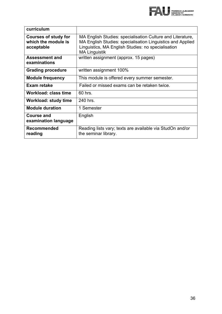

| curriculum                                                       |                                                                                                                                                                                                        |
|------------------------------------------------------------------|--------------------------------------------------------------------------------------------------------------------------------------------------------------------------------------------------------|
| <b>Courses of study for</b><br>which the module is<br>acceptable | MA English Studies: specialisation Culture and Literature,<br>MA English Studies: specialisation Linguistics and Applied<br>Linguistics, MA English Studies: no specialisation<br><b>MA Linguistik</b> |
| <b>Assessment and</b><br>examinations                            | written assignment (approx. 15 pages)                                                                                                                                                                  |
| <b>Grading procedure</b>                                         | written assignment 100%                                                                                                                                                                                |
| <b>Module frequency</b>                                          | This module is offered every summer semester.                                                                                                                                                          |
| Exam retake                                                      | Failed or missed exams can be retaken twice.                                                                                                                                                           |
| <b>Workload: class time</b>                                      | 60 hrs.                                                                                                                                                                                                |
| Workload: study time                                             | 240 hrs.                                                                                                                                                                                               |
| <b>Module duration</b>                                           | 1 Semester                                                                                                                                                                                             |
| <b>Course and</b><br>examination language                        | English                                                                                                                                                                                                |
| <b>Recommended</b><br>reading                                    | Reading lists vary; texts are available via StudOn and/or<br>the seminar library.                                                                                                                      |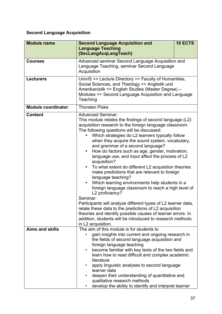### **Second Language Acquisition**

| <b>Module name</b>        | <b>Second Language Acquisition and</b><br><b>Language Teaching</b>                                                                                                                                                                                                                                                                                                                                                                                                                                                                                                                                                                                                                                                                                                            | 10 ECTS |
|---------------------------|-------------------------------------------------------------------------------------------------------------------------------------------------------------------------------------------------------------------------------------------------------------------------------------------------------------------------------------------------------------------------------------------------------------------------------------------------------------------------------------------------------------------------------------------------------------------------------------------------------------------------------------------------------------------------------------------------------------------------------------------------------------------------------|---------|
|                           | (SecLangAcqLangTeach)                                                                                                                                                                                                                                                                                                                                                                                                                                                                                                                                                                                                                                                                                                                                                         |         |
| <b>Courses</b>            | Advanced seminar Second Language Acquisition and<br>Language Teaching, seminar Second Language<br>Acquisition                                                                                                                                                                                                                                                                                                                                                                                                                                                                                                                                                                                                                                                                 |         |
| <b>Lecturers</b>          | UnivIS >> Lecture Directory >> Faculty of Humanities,<br>Social Sciences, and Theology >> Anglistik und<br>Amerikanistik >> English Studies (Master Degree) -<br>Modules >> Second Language Acquisition and Language<br>Teaching                                                                                                                                                                                                                                                                                                                                                                                                                                                                                                                                              |         |
| <b>Module coordinator</b> | <b>Thorsten Piske</b>                                                                                                                                                                                                                                                                                                                                                                                                                                                                                                                                                                                                                                                                                                                                                         |         |
| <b>Content</b>            | <b>Advanced Seminar:</b><br>This module relates the findings of second language (L2)<br>acquisition research to the foreign language classroom.<br>The following questions will be discussed:<br>Which strategies do L2 learners typically follow<br>when they acquire the sound system, vocabulary,<br>and grammar of a second language?<br>How do factors such as age, gender, motivation,<br>$\bullet$<br>language use, and input affect the process of L2<br>acquisition?<br>To what extent do different L2 acquisition theories<br>$\bullet$<br>make predictions that are relevant to foreign<br>language teaching?<br>Which learning environments help students in a<br>$\bullet$<br>foreign language classroom to reach a high level of<br>L2 proficiency?<br>Seminar: |         |
|                           | Participants will analyze different types of L2 learner data,<br>relate these data to the predictions of L2 acquisition<br>theories and identify possible causes of learner errors. In<br>addition, students will be introduced to research methods<br>in L2 acquisition.                                                                                                                                                                                                                                                                                                                                                                                                                                                                                                     |         |
| <b>Aims and skills</b>    | The aim of this module is for students to<br>gain insights into current and ongoing research in<br>the fields of second language acquisition and<br>foreign language teaching<br>become familiar with key texts of the two fields and<br>$\bullet$<br>learn how to read difficult and complex academic<br>literature<br>apply linguistic analyses to second language<br>learner data<br>deepen their understanding of quantitative and<br>$\bullet$<br>qualitative research methods<br>develop the ability to identify and interpret learner                                                                                                                                                                                                                                  |         |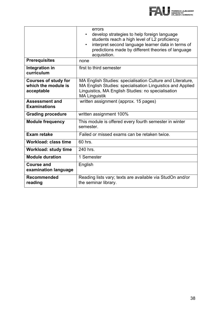

|                                                                  | errors<br>develop strategies to help foreign language<br>$\bullet$<br>students reach a high level of L2 proficiency<br>interpret second language learner data in terms of<br>$\bullet$<br>predictions made by different theories of language<br>acquisition. |
|------------------------------------------------------------------|--------------------------------------------------------------------------------------------------------------------------------------------------------------------------------------------------------------------------------------------------------------|
| <b>Prerequisites</b>                                             | none                                                                                                                                                                                                                                                         |
| Integration in<br>curriculum                                     | first to third semester                                                                                                                                                                                                                                      |
| <b>Courses of study for</b><br>which the module is<br>acceptable | MA English Studies: specialisation Culture and Literature,<br>MA English Studies: specialisation Linguistics and Applied<br>Linguistics, MA English Studies: no specialisation<br><b>MA Linguistik</b>                                                       |
| <b>Assessment and</b><br><b>Examinations</b>                     | written assignment (approx. 15 pages)                                                                                                                                                                                                                        |
| <b>Grading procedure</b>                                         | written assignment 100%                                                                                                                                                                                                                                      |
| <b>Module frequency</b>                                          | This module is offered every fourth semester in winter<br>semester.                                                                                                                                                                                          |
| <b>Exam retake</b>                                               | Failed or missed exams can be retaken twice.                                                                                                                                                                                                                 |
| Workload: class time                                             | 60 hrs.                                                                                                                                                                                                                                                      |
| <b>Workload: study time</b>                                      | 240 hrs.                                                                                                                                                                                                                                                     |
| <b>Module duration</b>                                           | 1 Semester                                                                                                                                                                                                                                                   |
| <b>Course and</b><br>examination language                        | English                                                                                                                                                                                                                                                      |
| <b>Recommended</b><br>reading                                    | Reading lists vary; texts are available via StudOn and/or<br>the seminar library.                                                                                                                                                                            |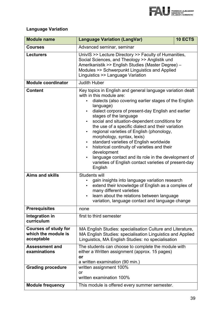

#### **Language Variation**

| <b>Module name</b>                                               | <b>Language Variation (LangVar)</b>                                                                                                                                                                                                                                                                                                                                                                                                                                                                                                                                                                                                                                                          | 10 ECTS |
|------------------------------------------------------------------|----------------------------------------------------------------------------------------------------------------------------------------------------------------------------------------------------------------------------------------------------------------------------------------------------------------------------------------------------------------------------------------------------------------------------------------------------------------------------------------------------------------------------------------------------------------------------------------------------------------------------------------------------------------------------------------------|---------|
| <b>Courses</b>                                                   | Advanced seminar, seminar                                                                                                                                                                                                                                                                                                                                                                                                                                                                                                                                                                                                                                                                    |         |
| <b>Lecturers</b>                                                 | UnivIS >> Lecture Directory >> Faculty of Humanities,<br>Social Sciences, and Theology >> Anglistik und<br>Amerikanistik >> English Studies (Master Degree) -<br>Modules >> Schwerpunkt Linguistics and Applied<br>Linguistics >> Language Variation                                                                                                                                                                                                                                                                                                                                                                                                                                         |         |
| <b>Module coordinator</b>                                        | <b>Judith Huber</b>                                                                                                                                                                                                                                                                                                                                                                                                                                                                                                                                                                                                                                                                          |         |
| <b>Content</b>                                                   | Key topics in English and general language variation dealt<br>with in this module are:<br>dialects (also covering earlier stages of the English<br>language)<br>dialect corpora of present-day English and earlier<br>stages of the language<br>social and situation-dependent conditions for<br>$\bullet$<br>the use of a specific dialect and their variation<br>regional varieties of English (phonology,<br>morphology, syntax, lexis)<br>standard varieties of English worldwide<br>$\bullet$<br>historical continuity of varieties and their<br>development<br>language contact and its role in the development of<br>varieties of English contact varieties of present-day<br>English |         |
| <b>Aims and skills</b>                                           | Students will<br>gain insights into language variation research<br>extend their knowledge of English as a complex of<br>many different varieties<br>learn about the relations between language<br>$\bullet$<br>variation, language contact and language change                                                                                                                                                                                                                                                                                                                                                                                                                               |         |
| <b>Prerequisites</b>                                             | none                                                                                                                                                                                                                                                                                                                                                                                                                                                                                                                                                                                                                                                                                         |         |
| Integration in<br>curriculum                                     | first to third semester                                                                                                                                                                                                                                                                                                                                                                                                                                                                                                                                                                                                                                                                      |         |
| <b>Courses of study for</b><br>which the module is<br>acceptable | MA English Studies: specialisation Culture and Literature,<br>MA English Studies: specialisation Linguistics and Applied<br>Linguistics, MA English Studies: no specialisation                                                                                                                                                                                                                                                                                                                                                                                                                                                                                                               |         |
| <b>Assessment and</b><br>examinations                            | The students can choose to complete the module with<br>either a Written assignment (approx. 15 pages)<br>or<br>a written examination (90 min.)                                                                                                                                                                                                                                                                                                                                                                                                                                                                                                                                               |         |
| <b>Grading procedure</b>                                         | written assignment 100%                                                                                                                                                                                                                                                                                                                                                                                                                                                                                                                                                                                                                                                                      |         |
|                                                                  | <b>or</b><br>written examination 100%                                                                                                                                                                                                                                                                                                                                                                                                                                                                                                                                                                                                                                                        |         |
| <b>Module frequency</b>                                          | This module is offered every summer semester.                                                                                                                                                                                                                                                                                                                                                                                                                                                                                                                                                                                                                                                |         |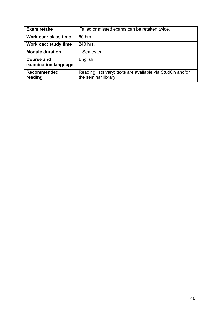| Exam retake                 | Failed or missed exams can be retaken twice.              |
|-----------------------------|-----------------------------------------------------------|
|                             |                                                           |
| <b>Workload: class time</b> | 60 hrs.                                                   |
|                             |                                                           |
| <b>Workload: study time</b> | 240 hrs.                                                  |
|                             |                                                           |
| <b>Module duration</b>      | 1 Semester                                                |
|                             |                                                           |
| <b>Course and</b>           | English                                                   |
|                             |                                                           |
| examination language        |                                                           |
|                             |                                                           |
| <b>Recommended</b>          | Reading lists vary; texts are available via StudOn and/or |
|                             |                                                           |
| reading                     | the seminar library.                                      |
|                             |                                                           |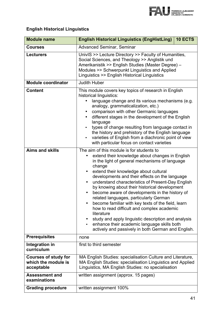

### **English Historical Linguistics**

| <b>Module name</b>                                               | <b>English Historical Linguistics (EngHistLing)</b><br>10 ECTS                                                                                                                                                                                                                                                                                                                                                                                                                                                                                                                                                                                                                                                                                   |  |
|------------------------------------------------------------------|--------------------------------------------------------------------------------------------------------------------------------------------------------------------------------------------------------------------------------------------------------------------------------------------------------------------------------------------------------------------------------------------------------------------------------------------------------------------------------------------------------------------------------------------------------------------------------------------------------------------------------------------------------------------------------------------------------------------------------------------------|--|
| <b>Courses</b>                                                   | <b>Advanced Seminar, Seminar</b>                                                                                                                                                                                                                                                                                                                                                                                                                                                                                                                                                                                                                                                                                                                 |  |
| <b>Lecturers</b>                                                 | UnivIS >> Lecture Directory >> Faculty of Humanities,<br>Social Sciences, and Theology >> Anglistik und<br>Amerikanistik >> English Studies (Master Degree) -<br>Modules >> Schwerpunkt Linguistics and Applied<br>Linguistics >> English Historical Linguistics                                                                                                                                                                                                                                                                                                                                                                                                                                                                                 |  |
| <b>Module coordinator</b>                                        | <b>Judith Huber</b>                                                                                                                                                                                                                                                                                                                                                                                                                                                                                                                                                                                                                                                                                                                              |  |
| <b>Content</b>                                                   | This module covers key topics of research in English<br>historical linguistics:<br>language change and its various mechanisms (e.g.<br>analogy, grammaticalization, etc.)<br>comparison with other Germanic languages<br>different stages in the development of the English<br>language<br>types of change resulting from language contact in<br>the history and prehistory of the English language<br>varieties of English from a diachronic point of view<br>$\bullet$<br>with particular focus on contact varieties                                                                                                                                                                                                                           |  |
| <b>Aims and skills</b>                                           | The aim of this module is for students to<br>extend their knowledge about changes in English<br>in the light of general mechanisms of language<br>change<br>extend their knowledge about cultural<br>developments and their effects on the language<br>understand characteristics of Present-Day English<br>by knowing about their historical development<br>become aware of developments in the history of<br>$\bullet$<br>related languages, particularly German<br>become familiar with key texts of the field, learn<br>how to read difficult and complex academic<br>literature<br>study and apply linguistic description and analysis<br>enhance their academic language skills both<br>actively and passively in both German and English. |  |
| <b>Prerequisites</b>                                             | none                                                                                                                                                                                                                                                                                                                                                                                                                                                                                                                                                                                                                                                                                                                                             |  |
| Integration in<br>curriculum                                     | first to third semester                                                                                                                                                                                                                                                                                                                                                                                                                                                                                                                                                                                                                                                                                                                          |  |
| <b>Courses of study for</b><br>which the module is<br>acceptable | MA English Studies: specialisation Culture and Literature,<br>MA English Studies: specialisation Linguistics and Applied<br>Linguistics, MA English Studies: no specialisation                                                                                                                                                                                                                                                                                                                                                                                                                                                                                                                                                                   |  |
| <b>Assessment and</b><br>examinations                            | written assignment (approx. 15 pages)                                                                                                                                                                                                                                                                                                                                                                                                                                                                                                                                                                                                                                                                                                            |  |
| <b>Grading procedure</b>                                         | written assignment 100%                                                                                                                                                                                                                                                                                                                                                                                                                                                                                                                                                                                                                                                                                                                          |  |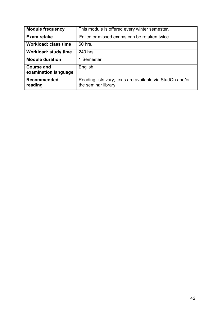| <b>Module frequency</b>                   | This module is offered every winter semester.                                     |
|-------------------------------------------|-----------------------------------------------------------------------------------|
| Exam retake                               | Failed or missed exams can be retaken twice.                                      |
| <b>Workload: class time</b>               | 60 hrs.                                                                           |
| <b>Workload: study time</b>               | 240 hrs.                                                                          |
| <b>Module duration</b>                    | 1 Semester                                                                        |
| <b>Course and</b><br>examination language | English                                                                           |
| <b>Recommended</b><br>reading             | Reading lists vary; texts are available via StudOn and/or<br>the seminar library. |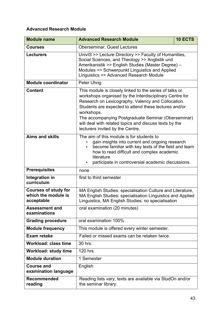#### **Advanced Research Module**

| <b>Module name</b>                                               | <b>Advanced Research Module</b>                                                                                                                                                                                                                                                                                                                                                                      | 10 ECTS |
|------------------------------------------------------------------|------------------------------------------------------------------------------------------------------------------------------------------------------------------------------------------------------------------------------------------------------------------------------------------------------------------------------------------------------------------------------------------------------|---------|
| <b>Courses</b>                                                   | <b>Oberseminar, Guest Lectures</b>                                                                                                                                                                                                                                                                                                                                                                   |         |
| <b>Lecturers</b>                                                 | UnivIS >> Lecture Directory >> Faculty of Humanities,<br>Social Sciences, and Theology >> Anglistik und<br>Amerikanistik >> English Studies (Master Degree) -<br>Modules >> Schwerpunkt Linguistics and Applied<br>Linguistics >> Advanced Research Module                                                                                                                                           |         |
| <b>Module coordinator</b>                                        | <b>Peter Uhrig</b>                                                                                                                                                                                                                                                                                                                                                                                   |         |
| <b>Content</b>                                                   | This module is closely linked to the series of talks or<br>workshops organised by the Interdisciplinary Centre for<br>Research on Lexicography, Valency and Collocation.<br>Students are expected to attend these lectures and/or<br>workshops.<br>The accompanying Postgraduate Seminar (Oberseminar)<br>will deal with related topics and discuss texts by the<br>lecturers invited by the Centre. |         |
| <b>Aims and skills</b>                                           | The aim of this module is for students to<br>gain insights into current and ongoing research<br>become familiar with key texts of the field and learn<br>how to read difficult and complex academic<br>literature<br>participate in controversial academic discussions.<br>$\bullet$                                                                                                                 |         |
| <b>Prerequisites</b>                                             | none                                                                                                                                                                                                                                                                                                                                                                                                 |         |
| Integration in<br>curriculum                                     | first to third semester                                                                                                                                                                                                                                                                                                                                                                              |         |
| <b>Courses of study for</b><br>which the module is<br>acceptable | MA English Studies: specialisation Culture and Literature,<br>MA English Studies: specialisation Linguistics and Applied<br>Linguistics, MA English Studies: no specialisation                                                                                                                                                                                                                       |         |
| <b>Assessment and</b><br>examinations                            | oral examination (20 minutes)                                                                                                                                                                                                                                                                                                                                                                        |         |
| <b>Grading procedure</b>                                         | oral examination 100%                                                                                                                                                                                                                                                                                                                                                                                |         |
| <b>Module frequency</b>                                          | This module is offered every winter semester.                                                                                                                                                                                                                                                                                                                                                        |         |
| <b>Exam retake</b>                                               | Failed or missed exams can be retaken twice.                                                                                                                                                                                                                                                                                                                                                         |         |
| Workload: class time                                             | 30 hrs.                                                                                                                                                                                                                                                                                                                                                                                              |         |
| <b>Workload: study time</b>                                      | 120 hrs.                                                                                                                                                                                                                                                                                                                                                                                             |         |
| <b>Module duration</b>                                           | 1 Semester                                                                                                                                                                                                                                                                                                                                                                                           |         |
| <b>Course and</b><br>examination language                        | English                                                                                                                                                                                                                                                                                                                                                                                              |         |
| <b>Recommended</b><br>reading                                    | Reading lists vary; texts are available via StudOn and/or<br>the seminar library.                                                                                                                                                                                                                                                                                                                    |         |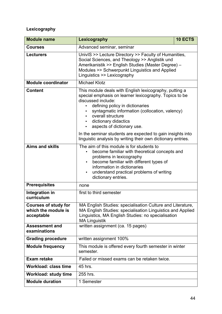### **Lexicography**

| <b>Module name</b>                                               | Lexicography                                                                                                                                                                                                                                                                                                                                                                                   | 10 ECTS |
|------------------------------------------------------------------|------------------------------------------------------------------------------------------------------------------------------------------------------------------------------------------------------------------------------------------------------------------------------------------------------------------------------------------------------------------------------------------------|---------|
| <b>Courses</b>                                                   | Advanced seminar, seminar                                                                                                                                                                                                                                                                                                                                                                      |         |
| <b>Lecturers</b>                                                 | UnivIS >> Lecture Directory >> Faculty of Humanities,<br>Social Sciences, and Theology >> Anglistik und<br>Amerikanistik >> English Studies (Master Degree) -<br>Modules >> Schwerpunkt Linguistics and Applied<br>Linguistics >> Lexicography                                                                                                                                                 |         |
| <b>Module coordinator</b>                                        | <b>Michael Klotz</b>                                                                                                                                                                                                                                                                                                                                                                           |         |
| <b>Content</b>                                                   | This module deals with English lexicography, putting a<br>special emphasis on learner lexicography. Topics to be<br>discussed include:<br>defining policy in dictionaries<br>syntagmatic information (collocation, valency)<br>overall structure<br>dictionary didactics<br>$\bullet$<br>aspects of dictionary use.<br>$\bullet$<br>In the seminar students are expected to gain insights into |         |
|                                                                  | linguistic analysis by writing their own dictionary entries.                                                                                                                                                                                                                                                                                                                                   |         |
| <b>Aims and skills</b>                                           | The aim of this module is for students to<br>become familiar with theoretical concepts and<br>problems in lexicography<br>become familiar with different types of<br>$\bullet$<br>information in dictionaries<br>understand practical problems of writing<br>dictionary entries.                                                                                                               |         |
| <b>Prerequisites</b>                                             | none                                                                                                                                                                                                                                                                                                                                                                                           |         |
| Integration in<br>curriculum                                     | first to third semester                                                                                                                                                                                                                                                                                                                                                                        |         |
| <b>Courses of study for</b><br>which the module is<br>acceptable | MA English Studies: specialisation Culture and Literature,<br>MA English Studies: specialisation Linguistics and Applied<br>Linguistics, MA English Studies: no specialisation<br><b>MA Linguistik</b>                                                                                                                                                                                         |         |
| <b>Assessment and</b><br>examinations                            | written assignment (ca. 15 pages)                                                                                                                                                                                                                                                                                                                                                              |         |
| <b>Grading procedure</b>                                         | written assignment 100%                                                                                                                                                                                                                                                                                                                                                                        |         |
| <b>Module frequency</b>                                          | This module is offered every fourth semester in winter<br>semester.                                                                                                                                                                                                                                                                                                                            |         |
| <b>Exam retake</b>                                               | Failed or missed exams can be retaken twice.                                                                                                                                                                                                                                                                                                                                                   |         |
| <b>Workload: class time</b>                                      | 45 hrs.                                                                                                                                                                                                                                                                                                                                                                                        |         |
| <b>Workload: study time</b>                                      | 255 hrs.                                                                                                                                                                                                                                                                                                                                                                                       |         |
| <b>Module duration</b>                                           | 1 Semester                                                                                                                                                                                                                                                                                                                                                                                     |         |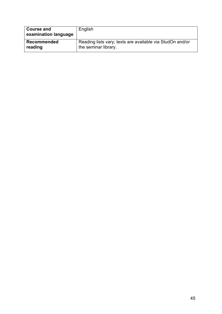| <b>Course and</b><br>examination language | English                                                   |
|-------------------------------------------|-----------------------------------------------------------|
| <b>Recommended</b>                        | Reading lists vary; texts are available via StudOn and/or |
| reading                                   | the seminar library.                                      |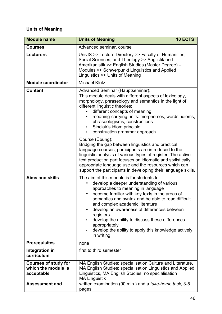#### **Units of Meaning**

| <b>Module name</b>                                               | <b>Units of Meaning</b>                                                                                                                                                                                                                                                                                                                                                                                                                                                                     | 10 ECTS |
|------------------------------------------------------------------|---------------------------------------------------------------------------------------------------------------------------------------------------------------------------------------------------------------------------------------------------------------------------------------------------------------------------------------------------------------------------------------------------------------------------------------------------------------------------------------------|---------|
| <b>Courses</b>                                                   | Advanced seminar, course                                                                                                                                                                                                                                                                                                                                                                                                                                                                    |         |
| <b>Lecturers</b>                                                 | UnivIS >> Lecture Directory >> Faculty of Humanities,<br>Social Sciences, and Theology >> Anglistik und<br>Amerikanistik >> English Studies (Master Degree) -<br>Modules >> Schwerpunkt Linguistics and Applied<br>Linguistics >> Units of Meaning                                                                                                                                                                                                                                          |         |
| <b>Module coordinator</b>                                        | <b>Michael Klotz</b>                                                                                                                                                                                                                                                                                                                                                                                                                                                                        |         |
| <b>Content</b>                                                   | Advanced Seminar (Hauptseminar):<br>This module deals with different aspects of lexicology,<br>morphology, phraseology and semantics in the light of<br>different linguistic theories:<br>different concepts of meaning<br>meaning-carrying units: morphemes, words, idioms,<br>phraseologisms, constructions<br>Sinclair's idiom principle<br>construction grammar approach                                                                                                                |         |
|                                                                  | Course (Übung):<br>Bridging the gap between linguistics and practical<br>language courses, participants are introduced to the<br>linguistic analysis of various types of register. The active<br>text production part focuses on idiomatic and stylistically<br>appropriate language use and the resources which can<br>support the participants in developing their language skills.                                                                                                       |         |
| <b>Aims and skills</b>                                           | The aim of this module is for students to<br>develop a deeper understanding of various<br>approaches to meaning in language<br>become familiar with key texts in the areas of<br>$\bullet$<br>semantics and syntax and be able to read difficult<br>and complex academic literature<br>develop an awareness of differences between<br>registers<br>develop the ability to discuss these differences<br>appropriately<br>develop the ability to apply this knowledge actively<br>in writing. |         |
| <b>Prerequisites</b>                                             | none                                                                                                                                                                                                                                                                                                                                                                                                                                                                                        |         |
| Integration in<br>curriculum                                     | first to third semester                                                                                                                                                                                                                                                                                                                                                                                                                                                                     |         |
| <b>Courses of study for</b><br>which the module is<br>acceptable | MA English Studies: specialisation Culture and Literature,<br>MA English Studies: specialisation Linguistics and Applied<br>Linguistics, MA English Studies: no specialisation<br><b>MA Linguistik</b>                                                                                                                                                                                                                                                                                      |         |
| <b>Assessment and</b>                                            | written examination (90 min.) and a take-home task, 3-5<br>pages                                                                                                                                                                                                                                                                                                                                                                                                                            |         |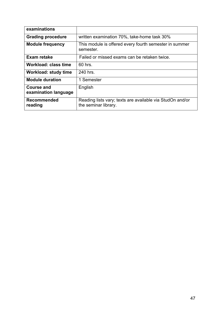| examinations                              |                                                                                   |
|-------------------------------------------|-----------------------------------------------------------------------------------|
| <b>Grading procedure</b>                  | written examination 70%, take-home task 30%                                       |
| <b>Module frequency</b>                   | This module is offered every fourth semester in summer<br>semester.               |
| Exam retake                               | Failed or missed exams can be retaken twice.                                      |
| <b>Workload: class time</b>               | 60 hrs.                                                                           |
| Workload: study time                      | 240 hrs.                                                                          |
| <b>Module duration</b>                    | 1 Semester                                                                        |
| <b>Course and</b><br>examination language | English                                                                           |
| <b>Recommended</b><br>reading             | Reading lists vary; texts are available via StudOn and/or<br>the seminar library. |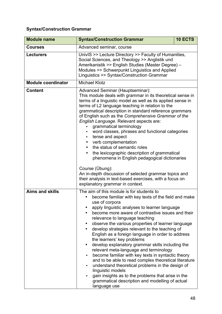#### **Syntax/Construction Grammar**

| <b>Module name</b>        | <b>Syntax/Construction Grammar</b>                                                                                                                                                                                                                                                                                                                                                                                                                                                                                                                                                                                                                                                                                                                                                                                                                                                      | 10 ECTS |
|---------------------------|-----------------------------------------------------------------------------------------------------------------------------------------------------------------------------------------------------------------------------------------------------------------------------------------------------------------------------------------------------------------------------------------------------------------------------------------------------------------------------------------------------------------------------------------------------------------------------------------------------------------------------------------------------------------------------------------------------------------------------------------------------------------------------------------------------------------------------------------------------------------------------------------|---------|
| <b>Courses</b>            | Advanced seminar, course                                                                                                                                                                                                                                                                                                                                                                                                                                                                                                                                                                                                                                                                                                                                                                                                                                                                |         |
| <b>Lecturers</b>          | UnivIS >> Lecture Directory >> Faculty of Humanities,<br>Social Sciences, and Theology >> Anglistik und<br>Amerikanistik >> English Studies (Master Degree) -<br>Modules >> Schwerpunkt Linguistics and Applied<br>Linguistics >> Syntax/Construction Grammar                                                                                                                                                                                                                                                                                                                                                                                                                                                                                                                                                                                                                           |         |
| <b>Module coordinator</b> | <b>Michael Klotz</b>                                                                                                                                                                                                                                                                                                                                                                                                                                                                                                                                                                                                                                                                                                                                                                                                                                                                    |         |
| <b>Content</b>            | Advanced Seminar (Hauptseminar):<br>This module deals with grammar in its theoretical sense in<br>terms of a linguistic model as well as its applied sense in<br>terms of L2 language teaching in relation to the<br>grammatical description in standard reference grammars<br>of English such as the Comprehensive Grammar of the<br>English Language. Relevant aspects are:<br>grammatical terminology<br>word classes, phrases and functional categories<br>tense and aspect<br>٠<br>verb complementation<br>the status of semantic roles<br>the lexicographic description of grammatical<br>٠<br>phenomena in English pedagogical dictionaries<br>Course (Übung):<br>An in-depth discussion of selected grammar topics and<br>their analysis in text-based exercises, with a focus on<br>explanatory grammar in context.                                                            |         |
| <b>Aims and skills</b>    | The aim of this module is for students to<br>become familiar with key texts of the field and make<br>use of corpora<br>apply linguistic analyses to learner language<br>become more aware of contrastive issues and their<br>relevance to language teaching<br>observe the various properties of learner language<br>develop strategies relevant to the teaching of<br>English as a foreign language in order to address<br>the learners' key problems<br>develop explanatory grammar skills including the<br>$\bullet$<br>relevant meta-language and terminology<br>become familiar with key texts in syntactic theory<br>and to be able to read complex theoretical literature<br>understand theoretical problems in the design of<br>٠<br>linguistic models<br>gain insights as to the problems that arise in the<br>grammatical description and modelling of actual<br>language use |         |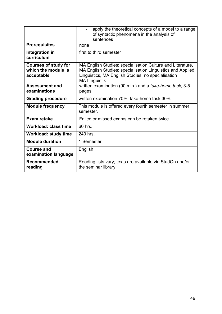|                                                                  | apply the theoretical concepts of a model to a range<br>of syntactic phenomena in the analysis of<br>sentences                                                                                         |
|------------------------------------------------------------------|--------------------------------------------------------------------------------------------------------------------------------------------------------------------------------------------------------|
| <b>Prerequisites</b>                                             | none                                                                                                                                                                                                   |
| Integration in<br>curriculum                                     | first to third semester                                                                                                                                                                                |
| <b>Courses of study for</b><br>which the module is<br>acceptable | MA English Studies: specialisation Culture and Literature,<br>MA English Studies: specialisation Linguistics and Applied<br>Linguistics, MA English Studies: no specialisation<br><b>MA Linguistik</b> |
| <b>Assessment and</b><br>examinations                            | written examination (90 min.) and a take-home task, 3-5<br>pages                                                                                                                                       |
| <b>Grading procedure</b>                                         | written examination 70%, take-home task 30%                                                                                                                                                            |
| <b>Module frequency</b>                                          | This module is offered every fourth semester in summer<br>semester.                                                                                                                                    |
| <b>Exam retake</b>                                               | Failed or missed exams can be retaken twice.                                                                                                                                                           |
| <b>Workload: class time</b>                                      | 60 hrs.                                                                                                                                                                                                |
| <b>Workload: study time</b>                                      | 240 hrs.                                                                                                                                                                                               |
| <b>Module duration</b>                                           | 1 Semester                                                                                                                                                                                             |
| <b>Course and</b><br>examination language                        | English                                                                                                                                                                                                |
| <b>Recommended</b><br>reading                                    | Reading lists vary; texts are available via StudOn and/or<br>the seminar library.                                                                                                                      |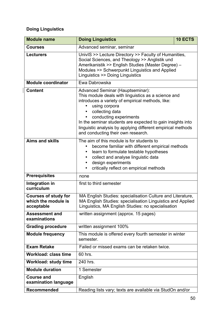### **Doing Linguistics**

| <b>Module name</b>                                               | <b>Doing Linguistics</b>                                                                                                                                                                                                                                                                                                                                                     | 10 ECTS |
|------------------------------------------------------------------|------------------------------------------------------------------------------------------------------------------------------------------------------------------------------------------------------------------------------------------------------------------------------------------------------------------------------------------------------------------------------|---------|
| <b>Courses</b>                                                   | Advanced seminar, seminar                                                                                                                                                                                                                                                                                                                                                    |         |
| <b>Lecturers</b>                                                 | UnivIS >> Lecture Directory >> Faculty of Humanities,<br>Social Sciences, and Theology >> Anglistik und<br>Amerikanistik >> English Studies (Master Degree) -<br>Modules >> Schwerpunkt Linguistics and Applied<br>Linguistics >> Doing Linguistics                                                                                                                          |         |
| <b>Module coordinator</b>                                        | Ewa Dabrowska                                                                                                                                                                                                                                                                                                                                                                |         |
| <b>Content</b>                                                   | Advanced Seminar (Hauptseminar):<br>This module deals with linguistics as a science and<br>introduces a variety of empirical methods, like:<br>using corpora<br>collecting data<br>conducting experiments<br>In the seminar students are expected to gain insights into<br>linguistic analysis by applying different empirical methods<br>and conducting their own research. |         |
| <b>Aims and skills</b>                                           | The aim of this module is for students to<br>become familiar with different empirical methods<br>learn to formulate testable hypotheses<br>collect and analyse linguistic data<br>٠<br>design experiments<br>critically reflect on empirical methods                                                                                                                         |         |
| <b>Prerequisites</b>                                             | none                                                                                                                                                                                                                                                                                                                                                                         |         |
| Integration in<br>curriculum                                     | first to third semester                                                                                                                                                                                                                                                                                                                                                      |         |
| <b>Courses of study for</b><br>which the module is<br>acceptable | MA English Studies: specialisation Culture and Literature,<br>MA English Studies: specialisation Linguistics and Applied<br>Linguistics, MA English Studies: no specialisation                                                                                                                                                                                               |         |
| <b>Assessment and</b><br>examinations                            | written assignment (approx. 15 pages)                                                                                                                                                                                                                                                                                                                                        |         |
| <b>Grading procedure</b>                                         | written assignment 100%                                                                                                                                                                                                                                                                                                                                                      |         |
| <b>Module frequency</b>                                          | This module is offered every fourth semester in winter<br>semester.                                                                                                                                                                                                                                                                                                          |         |
| <b>Exam Retake</b>                                               | Failed or missed exams can be retaken twice.                                                                                                                                                                                                                                                                                                                                 |         |
| <b>Workload: class time</b>                                      | 60 hrs.                                                                                                                                                                                                                                                                                                                                                                      |         |
| <b>Workload: study time</b>                                      | 240 hrs.                                                                                                                                                                                                                                                                                                                                                                     |         |
| <b>Module duration</b>                                           | 1 Semester                                                                                                                                                                                                                                                                                                                                                                   |         |
| <b>Course and</b><br>examination language                        | English                                                                                                                                                                                                                                                                                                                                                                      |         |
| Recommended                                                      | Reading lists vary; texts are available via StudOn and/or                                                                                                                                                                                                                                                                                                                    |         |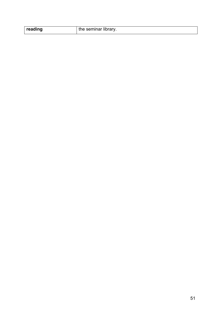| reading | the seminar library. |
|---------|----------------------|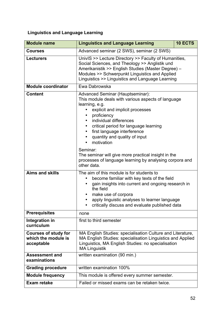### **Linguistics and Language Learning**

| <b>Module name</b>                                               | <b>Linguistics and Language Learning</b>                                                                                                                                                                                                                                                                                                                                                                                                                        | 10 ECTS |
|------------------------------------------------------------------|-----------------------------------------------------------------------------------------------------------------------------------------------------------------------------------------------------------------------------------------------------------------------------------------------------------------------------------------------------------------------------------------------------------------------------------------------------------------|---------|
| <b>Courses</b>                                                   | Advanced seminar (2 SWS), seminar (2 SWS)                                                                                                                                                                                                                                                                                                                                                                                                                       |         |
| <b>Lecturers</b>                                                 | UnivIS >> Lecture Directory >> Faculty of Humanities,<br>Social Sciences, and Theology >> Anglistik und<br>Amerikanistik >> English Studies (Master Degree) -<br>Modules >> Schwerpunkt Linguistics and Applied<br>Linguistics >> Linguistics and Language Learning                                                                                                                                                                                             |         |
| <b>Module coordinator</b>                                        | Ewa Dabrowska                                                                                                                                                                                                                                                                                                                                                                                                                                                   |         |
| <b>Content</b>                                                   | <b>Advanced Seminar (Hauptseminar):</b><br>This module deals with various aspects of language<br>learning, e.g.<br>explicit and implicit processes<br>proficiency<br>individual differences<br>critical period for language learning<br>first language interference<br>quantity and quality of input<br>motivation<br>Seminar:<br>The seminar will give more practical insight in the<br>processes of language learning by analysing corpora and<br>other data. |         |
| <b>Aims and skills</b>                                           | The aim of this module is for students to<br>become familiar with key texts of the field<br>gain insights into current and ongoing research in<br>the field<br>make use of corpora<br>apply linguistic analyses to learner language<br>critically discuss and evaluate published data                                                                                                                                                                           |         |
| <b>Prerequisites</b>                                             | none                                                                                                                                                                                                                                                                                                                                                                                                                                                            |         |
| Integration in<br>curriculum                                     | first to third semester                                                                                                                                                                                                                                                                                                                                                                                                                                         |         |
| <b>Courses of study for</b><br>which the module is<br>acceptable | MA English Studies: specialisation Culture and Literature,<br>MA English Studies: specialisation Linguistics and Applied<br>Linguistics, MA English Studies: no specialisation<br><b>MA Linguistik</b>                                                                                                                                                                                                                                                          |         |
| <b>Assessment and</b><br>examinations                            | written examination (90 min.)                                                                                                                                                                                                                                                                                                                                                                                                                                   |         |
| <b>Grading procedure</b>                                         | written examination 100%                                                                                                                                                                                                                                                                                                                                                                                                                                        |         |
| <b>Module frequency</b>                                          | This module is offered every summer semester.                                                                                                                                                                                                                                                                                                                                                                                                                   |         |
| <b>Exam retake</b>                                               | Failed or missed exams can be retaken twice.                                                                                                                                                                                                                                                                                                                                                                                                                    |         |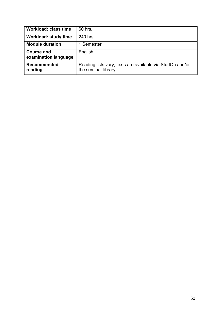| <b>Workload: class time</b>               | 60 hrs.                                                                           |
|-------------------------------------------|-----------------------------------------------------------------------------------|
| <b>Workload: study time</b>               | 240 hrs.                                                                          |
| <b>Module duration</b>                    | 1 Semester                                                                        |
| <b>Course and</b><br>examination language | English                                                                           |
| <b>Recommended</b><br>reading             | Reading lists vary; texts are available via StudOn and/or<br>the seminar library. |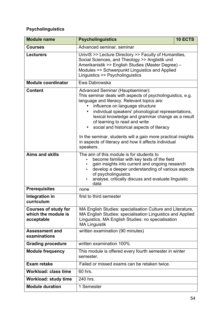### **Psycholinguistics**

| <b>Module name</b>                                               | <b>Psycholinguistics</b>                                                                                                                                                                                                                                                                                                                                                                                                                                                                                                   | 10 ECTS |
|------------------------------------------------------------------|----------------------------------------------------------------------------------------------------------------------------------------------------------------------------------------------------------------------------------------------------------------------------------------------------------------------------------------------------------------------------------------------------------------------------------------------------------------------------------------------------------------------------|---------|
| <b>Courses</b>                                                   | Advanced seminar, seminar                                                                                                                                                                                                                                                                                                                                                                                                                                                                                                  |         |
| <b>Lecturers</b>                                                 | UnivIS >> Lecture Directory >> Faculty of Humanities,<br>Social Sciences, and Theology >> Anglistik und<br>Amerikanistik >> English Studies (Master Degree) -<br>Modules >> Schwerpunkt Linguistics and Applied<br>Linguistics >> Psycholinguistics                                                                                                                                                                                                                                                                        |         |
| <b>Module coordinator</b>                                        | Ewa Dabrowska                                                                                                                                                                                                                                                                                                                                                                                                                                                                                                              |         |
| <b>Content</b>                                                   | Advanced Seminar (Hauptseminar):<br>This seminar deals with aspects of psycholinguistics, e.g.<br>language and literacy. Relevant topics are:<br>influence on language structure<br>individual speakers' phonological representations,<br>$\bullet$<br>lexical knowledge and grammar change as a result<br>of learning to read and write<br>social and historical aspects of literacy<br>In the seminar, students will a gain more practical insights<br>in aspects of literacy and how it affects individual<br>speakers. |         |
| <b>Aims and skills</b>                                           | The aim of this module is for students to<br>become familiar with key texts of the field<br>gain insights into current and ongoing research<br>develop a deeper understanding of various aspects<br>of psycholinguistcs<br>analyse, critically discuss and evaluate linguistic<br>data                                                                                                                                                                                                                                     |         |
| <b>Prerequisites</b>                                             | none                                                                                                                                                                                                                                                                                                                                                                                                                                                                                                                       |         |
| Integration in<br>curriculum                                     | first to third semester                                                                                                                                                                                                                                                                                                                                                                                                                                                                                                    |         |
| <b>Courses of study for</b><br>which the module is<br>acceptable | MA English Studies: specialisation Culture and Literature,<br>MA English Studies: specialisation Linguistics and Applied<br>Linguistics, MA English Studies: no specialisation<br><b>MA Linguistik</b>                                                                                                                                                                                                                                                                                                                     |         |
| <b>Assessment and</b><br>examinations                            | written examination (90 minutes)                                                                                                                                                                                                                                                                                                                                                                                                                                                                                           |         |
| <b>Grading procedure</b>                                         | written examination 100%                                                                                                                                                                                                                                                                                                                                                                                                                                                                                                   |         |
| <b>Module frequency</b>                                          | This module is offered every fourth semester in winter<br>semester.                                                                                                                                                                                                                                                                                                                                                                                                                                                        |         |
| <b>Exam retake</b>                                               | Failed or missed exams can be retaken twice.                                                                                                                                                                                                                                                                                                                                                                                                                                                                               |         |
| <b>Workload: class time</b>                                      | 60 hrs.                                                                                                                                                                                                                                                                                                                                                                                                                                                                                                                    |         |
| <b>Workload: study time</b>                                      | 240 hrs.                                                                                                                                                                                                                                                                                                                                                                                                                                                                                                                   |         |
| <b>Module duration</b>                                           | 1 Semester                                                                                                                                                                                                                                                                                                                                                                                                                                                                                                                 |         |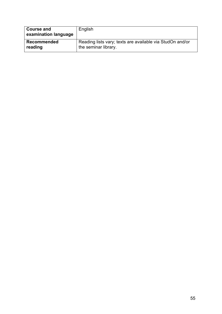| <b>Course and</b><br>examination language | English                                                   |
|-------------------------------------------|-----------------------------------------------------------|
| <b>Recommended</b>                        | Reading lists vary; texts are available via StudOn and/or |
| reading                                   | the seminar library.                                      |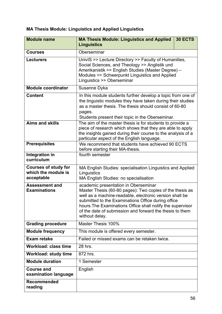### **MA Thesis Module: Linguistics and Applied Linguistics**

| <b>Module name</b>                                               | <b>MA Thesis Module: Linguistics and Applied</b><br><b>30 ECTS</b><br><b>Linguistics</b>                                                                                                                                                                                                                                                                      |
|------------------------------------------------------------------|---------------------------------------------------------------------------------------------------------------------------------------------------------------------------------------------------------------------------------------------------------------------------------------------------------------------------------------------------------------|
| <b>Courses</b>                                                   | Oberseminar                                                                                                                                                                                                                                                                                                                                                   |
| <b>Lecturers</b>                                                 | UnivIS >> Lecture Directory >> Faculty of Humanities,<br>Social Sciences, and Theology >> Anglistik und<br>Amerikanistik >> English Studies (Master Degree) -<br>Modules >> Schwerpunkt Linguistics and Applied<br>Linguistics >> Oberseminar                                                                                                                 |
| <b>Module coordinator</b>                                        | Susanne Dyka                                                                                                                                                                                                                                                                                                                                                  |
| <b>Content</b>                                                   | In this module students further develop a topic from one of<br>the linguistic modules they have taken during their studies<br>as a master thesis. The thesis should consist of 60-80<br>pages.<br>Students present their topic in the Oberseminar.                                                                                                            |
| <b>Aims and skills</b>                                           | The aim of the master thesis is for students to provide a<br>piece of research which shows that they are able to apply<br>the insights gained during their course to the analysis of a<br>particular aspect of the English language.                                                                                                                          |
| <b>Prerequisites</b>                                             | We recommend that students have achieved 90 ECTS<br>before starting their MA-thesis.                                                                                                                                                                                                                                                                          |
| Integration in<br>curriculum                                     | fourth semester                                                                                                                                                                                                                                                                                                                                               |
| <b>Courses of study for</b><br>which the module is<br>acceptable | MA English Studies: specialisation Linguistics and Applied<br>Linguistics<br>MA English Studies: no specialisation                                                                                                                                                                                                                                            |
| <b>Assessment and</b><br><b>Examinations</b>                     | academic presentation in Oberseminar<br>Master Thesis (60-80 pages): Two copies of the thesis as<br>well as a machine-readable, electronic version shall be<br>submitted to the Examinations Office during office<br>hours. The Examinations Office shall notify the supervisor<br>of the date of submission and forward the thesis to them<br>without delay. |
| <b>Grading procedure</b>                                         | Master Thesis 100%                                                                                                                                                                                                                                                                                                                                            |
| <b>Module frequency</b>                                          | This module is offered every semester.                                                                                                                                                                                                                                                                                                                        |
| <b>Exam retake</b>                                               | Failed or missed exams can be retaken twice.                                                                                                                                                                                                                                                                                                                  |
| <b>Workload: class time</b>                                      | 28 hrs.                                                                                                                                                                                                                                                                                                                                                       |
| <b>Workload: study time</b>                                      | 872 hrs.                                                                                                                                                                                                                                                                                                                                                      |
| <b>Module duration</b>                                           | 1 Semester                                                                                                                                                                                                                                                                                                                                                    |
| <b>Course and</b><br>examination language                        | English                                                                                                                                                                                                                                                                                                                                                       |
| <b>Recommended</b><br>reading                                    |                                                                                                                                                                                                                                                                                                                                                               |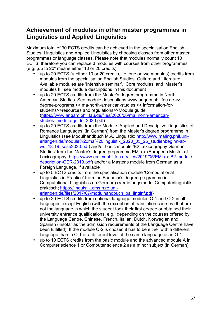### **Achievement of modules in other master programmes in Linguistics and Applied Linguistics**

Maximum total of 30 ECTS credits can be achieved in the specialisation English Studies: Linguistics and Applied Linguistics by choosing classes from other master programmes or language classes. Please note that modules normally count 10 ECTS, therefore you can replace 3 modules with courses from other programmes  $(e.a.$  up to  $20^\circ$  means either 10 or 20 credits):

- up to 20 ECTS (= either 10 or 20 credits, i.e. one or two modules) credits from modules from the specialisation English Studies: Culture and Literature. Available modules are 'Intensive seminar', 'Core modules' and 'Master's modules II'. see module descriptions in this document
- up to 20 ECTS credits from the Master's degree programme in North American Studies. See module descriptions www.angam.phil.fau.de >> degree-programs >> ma-north-american-studies >> information-forstudents>>resources and regulations>>Module guide (https://www.angam.phil.fau.de/files/2020/06/ma\_north-americanstudies\_module-guide\_2020.pdf)
- up to 20 ECTS credits from the Module 'Applied and Descriptive Linguistics of Romance Languages' (in German) from the Master's degree programme in Linguistics (see Modulhandbuch M.A. Linguistik: http://www.maling.phil.unierlangen.de/module%20ma%20linguistik\_2020\_05\_26\_studienbeginn-abws 18-19 sose2020.pdf) and/or basic module 'B2 Lexicography German Studies' from the Master's degree programme EMLex (European Master of Lexicography; https://www.emlex.phil.fau.de/files/2019/05/EMLex-B2-moduledescription-GER-2019.pdf) and/or a Master's module from German as a Foreign Language, if available
- up to 5 ECTS credits from the specialisation module 'Computational Linguistics in Practice' from the Bachelor's degree programme in Computational Linguistics (in German) (Vertiefungsmodul Computerlinguistik praktisch; https://linguistik.cms.rrze.unierlangen.de/files/2017/07/modulhandbuch\_ba\_linginf.pdf)
- up to 20 ECTS credits from optional language modules O-1 and O-2 in all languages except English (with the exception of translation courses) that are not the language in which the student took their first degree or obtained their university entrance qualifications; e.g., depending on the courses offered by the Language Centre, Chinese, French, Italian, Dutch, Norwegian and Spanish (insofar as the admission requirements of the Language Centre have been fulfilled). If the module O-2 is chosen it has to be either with a different language than in O-1 or a different level of the same language as in O-1.
- up to 10 ECTS credits from the basic module and the advanced module A in Computer science 1 or Computer science 2 as a minor subject (in German).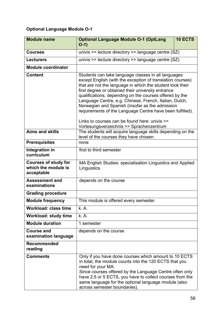### **Optional Language Module O-1**

| <b>Module name</b>                                               | <b>Optional Language Module O-1 (OptLang</b><br><b>10 ECTS</b><br>$O-1)$                                                                                                                                                                                                                                                                                                                                                                                                                                                                                               |  |
|------------------------------------------------------------------|------------------------------------------------------------------------------------------------------------------------------------------------------------------------------------------------------------------------------------------------------------------------------------------------------------------------------------------------------------------------------------------------------------------------------------------------------------------------------------------------------------------------------------------------------------------------|--|
| <b>Courses</b>                                                   | univis >> lecture directory >> language centre (SZ)                                                                                                                                                                                                                                                                                                                                                                                                                                                                                                                    |  |
| <b>Lecturers</b>                                                 | univis >> lecture directory >> language centre (SZ)                                                                                                                                                                                                                                                                                                                                                                                                                                                                                                                    |  |
| <b>Module coordinator</b>                                        |                                                                                                                                                                                                                                                                                                                                                                                                                                                                                                                                                                        |  |
| <b>Content</b>                                                   | Students can take language classes in all languages<br>except English (with the exception of translation courses)<br>that are not the language in which the student took their<br>first degree or obtained their university entrance<br>qualifications, depending on the courses offered by the<br>Language Centre, e.g. Chinese, French, Italian, Dutch,<br>Norwegian and Spanish (insofar as the admission<br>requirements of the Language Centre have been fulfilled).<br>Links to courses can be found here: univis >><br>Vorlesungsverzeichnis >> Sprachenzentrum |  |
| <b>Aims and skills</b>                                           | The students will acquire language skills depending on the<br>level of the courses they have chosen.                                                                                                                                                                                                                                                                                                                                                                                                                                                                   |  |
| <b>Prerequisites</b>                                             | none                                                                                                                                                                                                                                                                                                                                                                                                                                                                                                                                                                   |  |
| Integration in<br>curriculum                                     | first to third semester                                                                                                                                                                                                                                                                                                                                                                                                                                                                                                                                                |  |
| <b>Courses of study for</b><br>which the module is<br>acceptable | MA English Studies: specialisation Linguistics and Applied<br>Linguistics                                                                                                                                                                                                                                                                                                                                                                                                                                                                                              |  |
| <b>Assessment and</b><br>examinations                            | depends on the course                                                                                                                                                                                                                                                                                                                                                                                                                                                                                                                                                  |  |
| <b>Grading procedure</b>                                         |                                                                                                                                                                                                                                                                                                                                                                                                                                                                                                                                                                        |  |
| <b>Module frequency</b>                                          | This module is offered every semester.                                                                                                                                                                                                                                                                                                                                                                                                                                                                                                                                 |  |
| Workload: class time                                             | k.A                                                                                                                                                                                                                                                                                                                                                                                                                                                                                                                                                                    |  |
| <b>Workload: study time</b>                                      | k. A.                                                                                                                                                                                                                                                                                                                                                                                                                                                                                                                                                                  |  |
| <b>Module duration</b>                                           | 1 semester                                                                                                                                                                                                                                                                                                                                                                                                                                                                                                                                                             |  |
| <b>Course and</b><br>examination language                        | depends on the course                                                                                                                                                                                                                                                                                                                                                                                                                                                                                                                                                  |  |
| <b>Recommended</b><br>reading                                    |                                                                                                                                                                                                                                                                                                                                                                                                                                                                                                                                                                        |  |
| <b>Comments</b>                                                  | Only if you have done courses which amount to 10 ECTS<br>in total, the module counts into the 120 ECTS that you<br>need for your MA.<br>Since courses offered by the Language Centre often only<br>have 2.5 or 5 ECTS, you have to collect courses from the<br>same language for the optional language module (also<br>across semester boundaries).                                                                                                                                                                                                                    |  |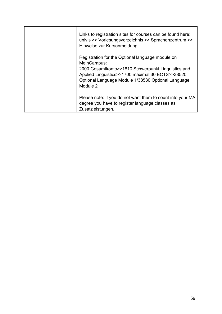| Links to registration sites for courses can be found here:<br>univis >> Vorlesungsverzeichnis >> Sprachenzentrum >><br>Hinweise zur Kursanmeldung                                                                                           |
|---------------------------------------------------------------------------------------------------------------------------------------------------------------------------------------------------------------------------------------------|
| Registration for the Optional language module on<br>MeinCampus:<br>2000 Gesamtkonto>>1810 Schwerpunkt Linguistics and<br>Applied Linguistics>>1700 maximal 30 ECTS>>38520<br>Optional Language Module 1/38530 Optional Language<br>Module 2 |
| Please note: If you do not want them to count into your MA<br>degree you have to register language classes as<br>Zusatzleistungen.                                                                                                          |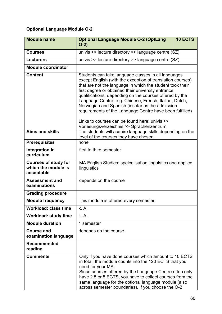### **Optional Language Module O-2**

| <b>Module name</b>                                               | <b>10 ECTS</b><br><b>Optional Language Module O-2 (OptLang</b><br>$O-2)$                                                                                                                                                                                                                                                                                                                                                                                                                                                                                              |  |
|------------------------------------------------------------------|-----------------------------------------------------------------------------------------------------------------------------------------------------------------------------------------------------------------------------------------------------------------------------------------------------------------------------------------------------------------------------------------------------------------------------------------------------------------------------------------------------------------------------------------------------------------------|--|
| <b>Courses</b>                                                   | univis >> lecture directory >> language centre (SZ)                                                                                                                                                                                                                                                                                                                                                                                                                                                                                                                   |  |
| <b>Lecturers</b>                                                 | univis >> lecture directory >> language centre (SZ)                                                                                                                                                                                                                                                                                                                                                                                                                                                                                                                   |  |
| <b>Module coordinator</b>                                        |                                                                                                                                                                                                                                                                                                                                                                                                                                                                                                                                                                       |  |
| <b>Content</b>                                                   | Students can take language classes in all languages<br>except English (with the exception of translation courses)<br>that are not the language in which the student took their<br>first degree or obtained their university entrance<br>qualifications, depending on the courses offered by the<br>Language Centre, e.g. Chinese, French, Italian, Dutch,<br>Norwegian and Spanish (insofar as the admission<br>requirements of the Language Centre have been fulfilled)<br>Links to courses can be found here: univis >><br>Vorlesungsverzeichnis >> Sprachenzentrum |  |
| <b>Aims and skills</b>                                           | The students will acquire language skills depending on the<br>level of the courses they have chosen.                                                                                                                                                                                                                                                                                                                                                                                                                                                                  |  |
| <b>Prerequisites</b>                                             | none                                                                                                                                                                                                                                                                                                                                                                                                                                                                                                                                                                  |  |
| Integration in<br>curriculum                                     | first to third semester                                                                                                                                                                                                                                                                                                                                                                                                                                                                                                                                               |  |
| <b>Courses of study for</b><br>which the module is<br>acceptable | MA English Studies: speicalisation linguistics and applied<br>linguistics                                                                                                                                                                                                                                                                                                                                                                                                                                                                                             |  |
| <b>Assessment and</b><br>examinations                            | depends on the course                                                                                                                                                                                                                                                                                                                                                                                                                                                                                                                                                 |  |
| <b>Grading procedure</b>                                         |                                                                                                                                                                                                                                                                                                                                                                                                                                                                                                                                                                       |  |
| <b>Module frequency</b>                                          | This module is offered every semester.                                                                                                                                                                                                                                                                                                                                                                                                                                                                                                                                |  |
| <b>Workload: class time</b>                                      | k. A.                                                                                                                                                                                                                                                                                                                                                                                                                                                                                                                                                                 |  |
| <b>Workload: study time</b>                                      | k. A.                                                                                                                                                                                                                                                                                                                                                                                                                                                                                                                                                                 |  |
| <b>Module duration</b>                                           | 1 semester                                                                                                                                                                                                                                                                                                                                                                                                                                                                                                                                                            |  |
| <b>Course and</b><br>examination language                        | depends on the course                                                                                                                                                                                                                                                                                                                                                                                                                                                                                                                                                 |  |
| <b>Recommended</b><br>reading                                    |                                                                                                                                                                                                                                                                                                                                                                                                                                                                                                                                                                       |  |
| <b>Comments</b>                                                  | Only if you have done courses which amount to 10 ECTS<br>in total, the module counts into the 120 ECTS that you<br>need for your MA.<br>Since courses offered by the Language Centre often only<br>have 2.5 or 5 ECTS, you have to collect courses from the<br>same language for the optional language module (also<br>across semester boundaries). If you choose the O-2                                                                                                                                                                                             |  |